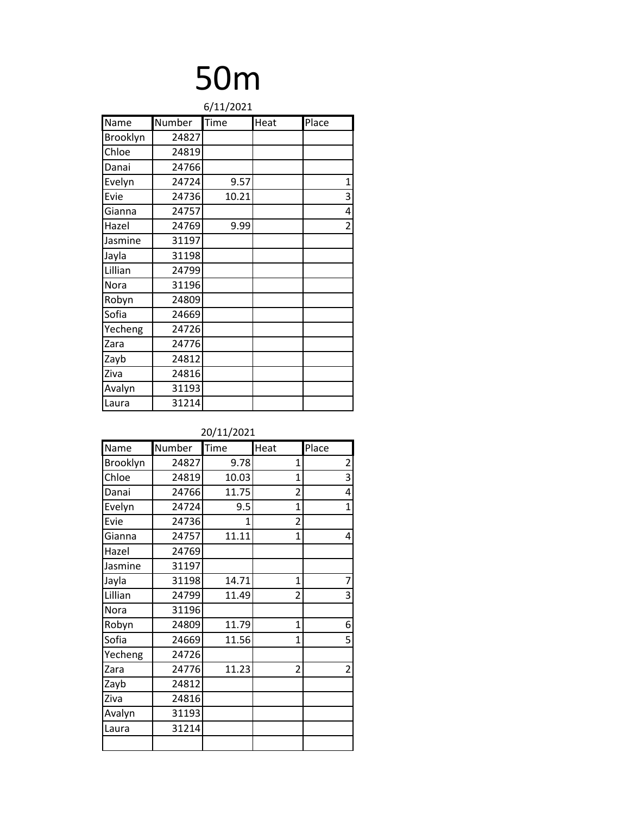| 6/11/2021 |        |       |      |       |  |
|-----------|--------|-------|------|-------|--|
| Name      | Number | Time  | Heat | Place |  |
| Brooklyn  | 24827  |       |      |       |  |
| Chloe     | 24819  |       |      |       |  |
| Danai     | 24766  |       |      |       |  |
| Evelyn    | 24724  | 9.57  |      | 1     |  |
| Evie      | 24736  | 10.21 |      | 3     |  |
| Gianna    | 24757  |       |      | 4     |  |
| Hazel     | 24769  | 9.99  |      | 2     |  |
| Jasmine   | 31197  |       |      |       |  |
| Jayla     | 31198  |       |      |       |  |
| Lillian   | 24799  |       |      |       |  |
| Nora      | 31196  |       |      |       |  |
| Robyn     | 24809  |       |      |       |  |
| Sofia     | 24669  |       |      |       |  |
| Yecheng   | 24726  |       |      |       |  |
| Zara      | 24776  |       |      |       |  |
| Zayb      | 24812  |       |      |       |  |
| Ziva      | 24816  |       |      |       |  |
| Avalyn    | 31193  |       |      |       |  |
| Laura     | 31214  |       |      |       |  |

| Name     | Number | Time         | Heat           | Place          |
|----------|--------|--------------|----------------|----------------|
| Brooklyn | 24827  | 9.78         | 1              | $\overline{2}$ |
| Chloe    | 24819  | 10.03        | $\mathbf{1}$   | 3              |
| Danai    | 24766  | 11.75        | $\overline{2}$ | 4              |
| Evelyn   | 24724  | 9.5          | 1              | $\overline{1}$ |
| Evie     | 24736  | $\mathbf{1}$ | $\overline{2}$ |                |
| Gianna   | 24757  | 11.11        | 1              | 4              |
| Hazel    | 24769  |              |                |                |
| Jasmine  | 31197  |              |                |                |
| Jayla    | 31198  | 14.71        | $\mathbf{1}$   | $\overline{7}$ |
| Lillian  | 24799  | 11.49        | 2              | 3              |
| Nora     | 31196  |              |                |                |
| Robyn    | 24809  | 11.79        | 1              | 6              |
| Sofia    | 24669  | 11.56        | 1              | 5              |
| Yecheng  | 24726  |              |                |                |
| Zara     | 24776  | 11.23        | $\overline{2}$ | $\overline{2}$ |
| Zayb     | 24812  |              |                |                |
| Ziva     | 24816  |              |                |                |
| Avalyn   | 31193  |              |                |                |
| Laura    | 31214  |              |                |                |
|          |        |              |                |                |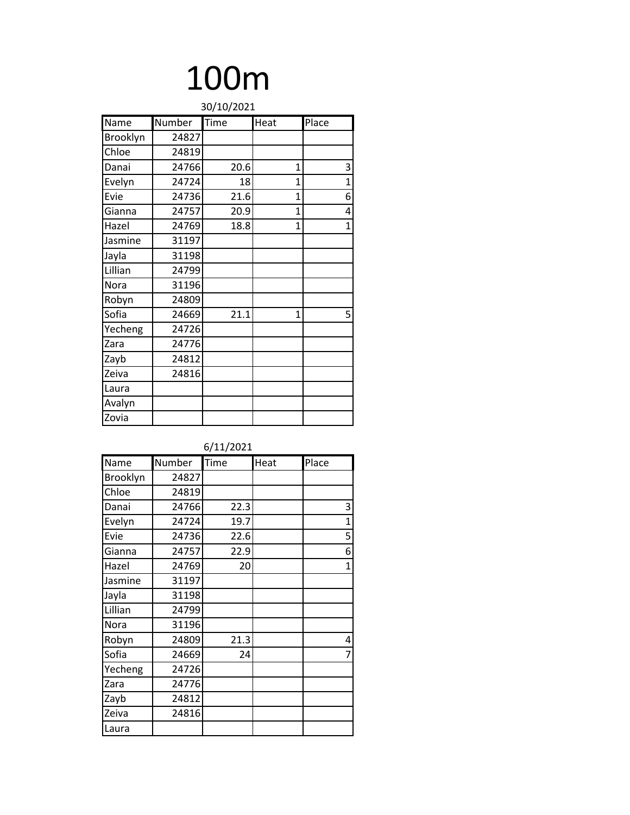| 30/10/2021 |        |      |              |              |
|------------|--------|------|--------------|--------------|
| Name       | Number | Time | Heat         | Place        |
| Brooklyn   | 24827  |      |              |              |
| Chloe      | 24819  |      |              |              |
| Danai      | 24766  | 20.6 | 1            | 3            |
| Evelyn     | 24724  | 18   | 1            | $\mathbf{1}$ |
| Evie       | 24736  | 21.6 | 1            | 6            |
| Gianna     | 24757  | 20.9 | $\mathbf{1}$ | 4            |
| Hazel      | 24769  | 18.8 | 1            | 1            |
| Jasmine    | 31197  |      |              |              |
| Jayla      | 31198  |      |              |              |
| Lillian    | 24799  |      |              |              |
| Nora       | 31196  |      |              |              |
| Robyn      | 24809  |      |              |              |
| Sofia      | 24669  | 21.1 | 1            | 5            |
| Yecheng    | 24726  |      |              |              |
| Zara       | 24776  |      |              |              |
| Zayb       | 24812  |      |              |              |
| Zeiva      | 24816  |      |              |              |
| Laura      |        |      |              |              |
| Avalyn     |        |      |              |              |
| Zovia      |        |      |              |              |

| Name     | Number | Time | Heat | Place        |
|----------|--------|------|------|--------------|
| Brooklyn | 24827  |      |      |              |
| Chloe    | 24819  |      |      |              |
| Danai    | 24766  | 22.3 |      | 3            |
| Evelyn   | 24724  | 19.7 |      | $\mathbf{1}$ |
| Evie     | 24736  | 22.6 |      | 5            |
| Gianna   | 24757  | 22.9 |      | 6            |
| Hazel    | 24769  | 20   |      | $\mathbf{1}$ |
| Jasmine  | 31197  |      |      |              |
| Jayla    | 31198  |      |      |              |
| Lillian  | 24799  |      |      |              |
| Nora     | 31196  |      |      |              |
| Robyn    | 24809  | 21.3 |      | 4            |
| Sofia    | 24669  | 24   |      | 7            |
| Yecheng  | 24726  |      |      |              |
| Zara     | 24776  |      |      |              |
| Zayb     | 24812  |      |      |              |
| Zeiva    | 24816  |      |      |              |
| Laura    |        |      |      |              |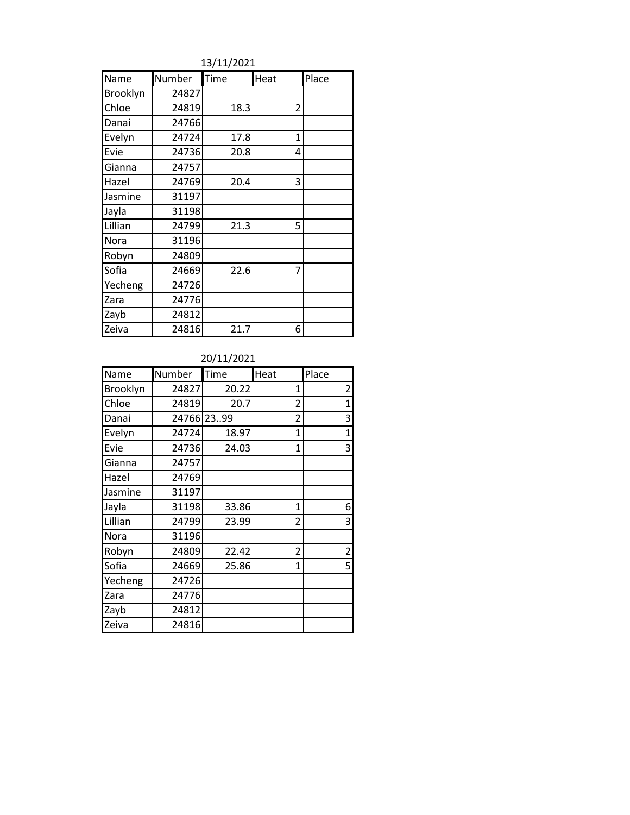13/11/2021

| Name     | Number | Time | Heat           | Place |
|----------|--------|------|----------------|-------|
| Brooklyn | 24827  |      |                |       |
| Chloe    | 24819  | 18.3 | $\overline{2}$ |       |
| Danai    | 24766  |      |                |       |
| Evelyn   | 24724  | 17.8 | 1              |       |
| Evie     | 24736  | 20.8 | 4              |       |
| Gianna   | 24757  |      |                |       |
| Hazel    | 24769  | 20.4 | 3              |       |
| Jasmine  | 31197  |      |                |       |
| Jayla    | 31198  |      |                |       |
| Lillian  | 24799  | 21.3 | 5              |       |
| Nora     | 31196  |      |                |       |
| Robyn    | 24809  |      |                |       |
| Sofia    | 24669  | 22.6 | 7              |       |
| Yecheng  | 24726  |      |                |       |
| Zara     | 24776  |      |                |       |
| Zayb     | 24812  |      |                |       |
| Zeiva    | 24816  | 21.7 | 6              |       |

| Name     | Number | Time       | Heat           | Place          |
|----------|--------|------------|----------------|----------------|
| Brooklyn | 24827  | 20.22      | 1              | 2              |
| Chloe    | 24819  | 20.7       | $\overline{2}$ | $\mathbf{1}$   |
| Danai    |        | 24766 2399 | 2              | 3              |
| Evelyn   | 24724  | 18.97      | 1              | 1              |
| Evie     | 24736  | 24.03      | $\mathbf{1}$   | 3              |
| Gianna   | 24757  |            |                |                |
| Hazel    | 24769  |            |                |                |
| Jasmine  | 31197  |            |                |                |
| Jayla    | 31198  | 33.86      | $\mathbf{1}$   | 6              |
| Lillian  | 24799  | 23.99      | $\overline{2}$ | 3              |
| Nora     | 31196  |            |                |                |
| Robyn    | 24809  | 22.42      | 2              | $\overline{2}$ |
| Sofia    | 24669  | 25.86      | $\mathbf{1}$   | 5              |
| Yecheng  | 24726  |            |                |                |
| Zara     | 24776  |            |                |                |
| Zayb     | 24812  |            |                |                |
| Zeiva    | 24816  |            |                |                |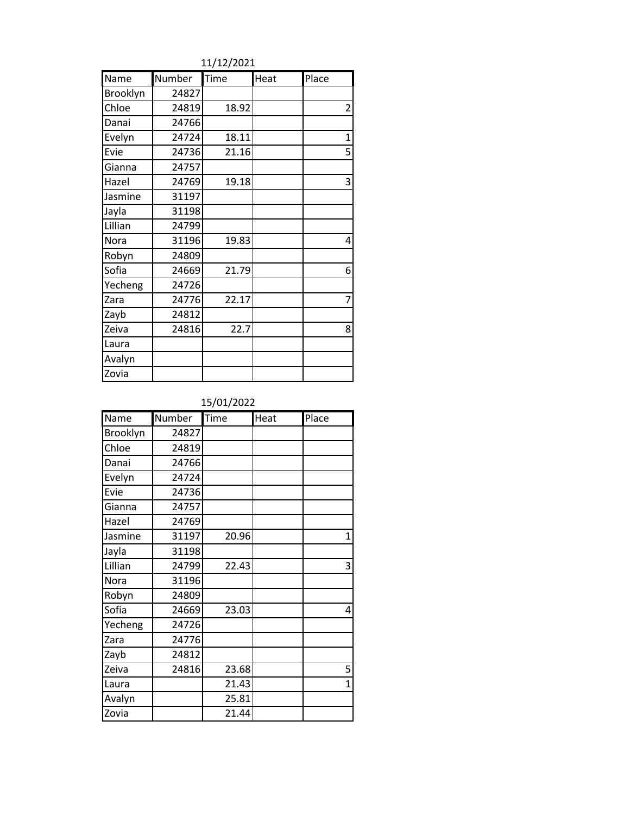| Name            | Number | Time  | Heat | Place          |
|-----------------|--------|-------|------|----------------|
| <b>Brooklyn</b> | 24827  |       |      |                |
| Chloe           | 24819  | 18.92 |      | $\overline{2}$ |
| Danai           | 24766  |       |      |                |
| Evelyn          | 24724  | 18.11 |      | $\mathbf{1}$   |
| Evie            | 24736  | 21.16 |      | 5              |
| Gianna          | 24757  |       |      |                |
| Hazel           | 24769  | 19.18 |      | 3              |
| Jasmine         | 31197  |       |      |                |
| Jayla           | 31198  |       |      |                |
| Lillian         | 24799  |       |      |                |
| Nora            | 31196  | 19.83 |      | 4              |
| Robyn           | 24809  |       |      |                |
| Sofia           | 24669  | 21.79 |      | 6              |
| Yecheng         | 24726  |       |      |                |
| Zara            | 24776  | 22.17 |      | 7              |
| Zayb            | 24812  |       |      |                |
| Zeiva           | 24816  | 22.7  |      | 8              |
| Laura           |        |       |      |                |
| Avalyn          |        |       |      |                |
| Zovia           |        |       |      |                |

11/12/2021

### 15/01/2022

| Name     | Number | Time  | Heat | Place        |
|----------|--------|-------|------|--------------|
| Brooklyn | 24827  |       |      |              |
| Chloe    | 24819  |       |      |              |
| Danai    | 24766  |       |      |              |
| Evelyn   | 24724  |       |      |              |
| Evie     | 24736  |       |      |              |
| Gianna   | 24757  |       |      |              |
| Hazel    | 24769  |       |      |              |
| Jasmine  | 31197  | 20.96 |      | 1            |
| Jayla    | 31198  |       |      |              |
| Lillian  | 24799  | 22.43 |      | 3            |
| Nora     | 31196  |       |      |              |
| Robyn    | 24809  |       |      |              |
| Sofia    | 24669  | 23.03 |      | 4            |
| Yecheng  | 24726  |       |      |              |
| Zara     | 24776  |       |      |              |
| Zayb     | 24812  |       |      |              |
| Zeiva    | 24816  | 23.68 |      | 5            |
| Laura    |        | 21.43 |      | $\mathbf{1}$ |
| Avalyn   |        | 25.81 |      |              |
| Zovia    |        | 21.44 |      |              |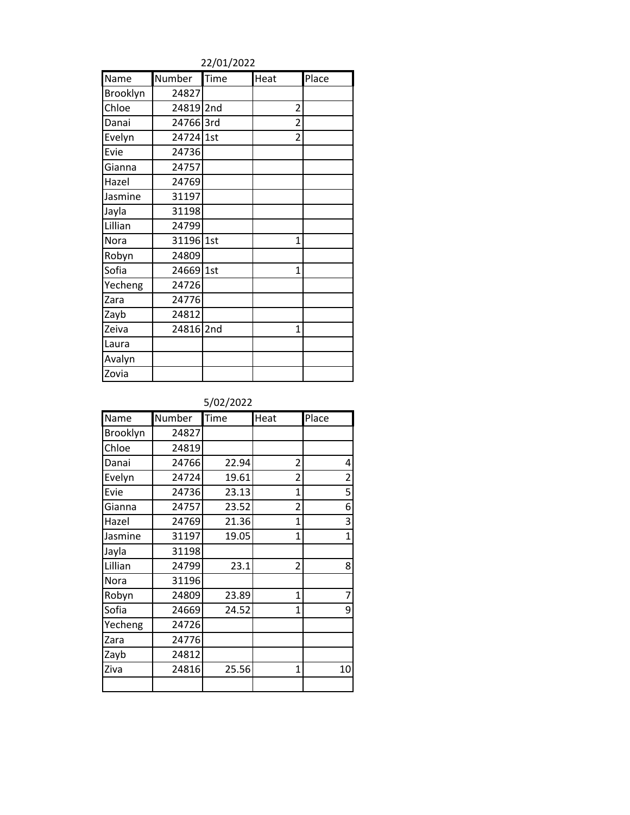22/01/2022

| Name            | Number    | Time | Heat           | Place |
|-----------------|-----------|------|----------------|-------|
| <b>Brooklyn</b> | 24827     |      |                |       |
| Chloe           | 24819 2nd |      | $\overline{2}$ |       |
| Danai           | 24766 3rd |      | $\overline{2}$ |       |
| Evelyn          | 24724 1st |      | $\overline{2}$ |       |
| Evie            | 24736     |      |                |       |
| Gianna          | 24757     |      |                |       |
| Hazel           | 24769     |      |                |       |
| Jasmine         | 31197     |      |                |       |
| Jayla           | 31198     |      |                |       |
| Lillian         | 24799     |      |                |       |
| Nora            | 31196     | 1st  | 1              |       |
| Robyn           | 24809     |      |                |       |
| Sofia           | 24669     | 1st  | 1              |       |
| Yecheng         | 24726     |      |                |       |
| Zara            | 24776     |      |                |       |
| Zayb            | 24812     |      |                |       |
| Zeiva           | 24816     | 2nd  | 1              |       |
| Laura           |           |      |                |       |
| Avalyn          |           |      |                |       |
| Zovia           |           |      |                |       |

| Name     | Number | Time  | Heat           | Place          |
|----------|--------|-------|----------------|----------------|
| Brooklyn | 24827  |       |                |                |
| Chloe    | 24819  |       |                |                |
| Danai    | 24766  | 22.94 | 2              | 4              |
| Evelyn   | 24724  | 19.61 | $\overline{2}$ | $\overline{c}$ |
| Evie     | 24736  | 23.13 | $\mathbf{1}$   | 5              |
| Gianna   | 24757  | 23.52 | $\overline{2}$ | 6              |
| Hazel    | 24769  | 21.36 | $\mathbf{1}$   | 3              |
| Jasmine  | 31197  | 19.05 | $\mathbf{1}$   | $\overline{1}$ |
| Jayla    | 31198  |       |                |                |
| Lillian  | 24799  | 23.1  | $\overline{2}$ | 8              |
| Nora     | 31196  |       |                |                |
| Robyn    | 24809  | 23.89 | 1              | 7              |
| Sofia    | 24669  | 24.52 | 1              | 9              |
| Yecheng  | 24726  |       |                |                |
| Zara     | 24776  |       |                |                |
| Zayb     | 24812  |       |                |                |
| Ziva     | 24816  | 25.56 | $\mathbf{1}$   | 10             |
|          |        |       |                |                |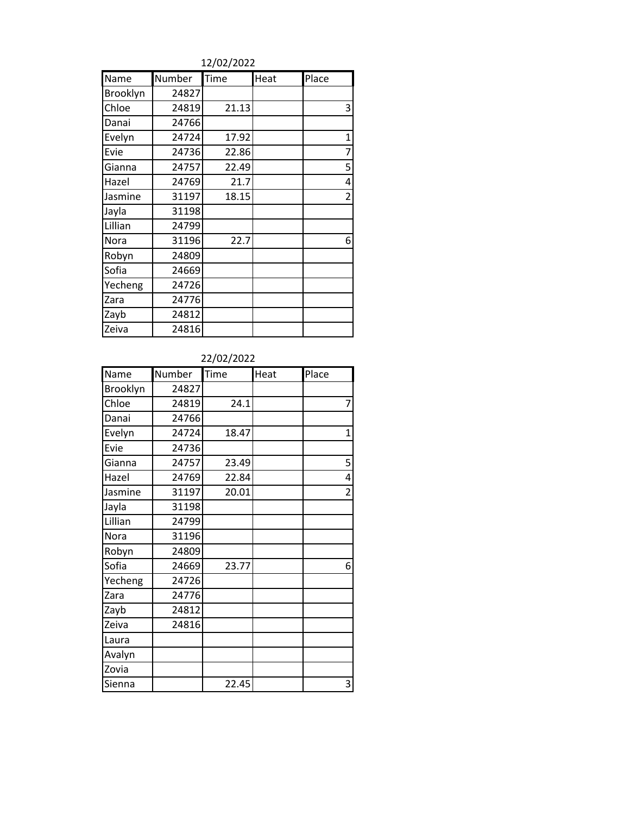12/02/2022

| Name     | Number | Time  | Heat | Place          |
|----------|--------|-------|------|----------------|
| Brooklyn | 24827  |       |      |                |
| Chloe    | 24819  | 21.13 |      | 3              |
| Danai    | 24766  |       |      |                |
| Evelyn   | 24724  | 17.92 |      | $\mathbf 1$    |
| Evie     | 24736  | 22.86 |      | 7              |
| Gianna   | 24757  | 22.49 |      | 5              |
| Hazel    | 24769  | 21.7  |      | 4              |
| Jasmine  | 31197  | 18.15 |      | $\overline{2}$ |
| Jayla    | 31198  |       |      |                |
| Lillian  | 24799  |       |      |                |
| Nora     | 31196  | 22.7  |      | 6              |
| Robyn    | 24809  |       |      |                |
| Sofia    | 24669  |       |      |                |
| Yecheng  | 24726  |       |      |                |
| Zara     | 24776  |       |      |                |
| Zayb     | 24812  |       |      |                |
| Zeiva    | 24816  |       |      |                |

| Name     | Number | Time  | Heat | Place          |
|----------|--------|-------|------|----------------|
| Brooklyn | 24827  |       |      |                |
| Chloe    | 24819  | 24.1  |      | 7              |
| Danai    | 24766  |       |      |                |
| Evelyn   | 24724  | 18.47 |      | $\mathbf 1$    |
| Evie     | 24736  |       |      |                |
| Gianna   | 24757  | 23.49 |      | 5              |
| Hazel    | 24769  | 22.84 |      | 4              |
| Jasmine  | 31197  | 20.01 |      | $\overline{2}$ |
| Jayla    | 31198  |       |      |                |
| Lillian  | 24799  |       |      |                |
| Nora     | 31196  |       |      |                |
| Robyn    | 24809  |       |      |                |
| Sofia    | 24669  | 23.77 |      | 6              |
| Yecheng  | 24726  |       |      |                |
| Zara     | 24776  |       |      |                |
| Zayb     | 24812  |       |      |                |
| Zeiva    | 24816  |       |      |                |
| Laura    |        |       |      |                |
| Avalyn   |        |       |      |                |
| Zovia    |        |       |      |                |
| Sienna   |        | 22.45 |      | 3              |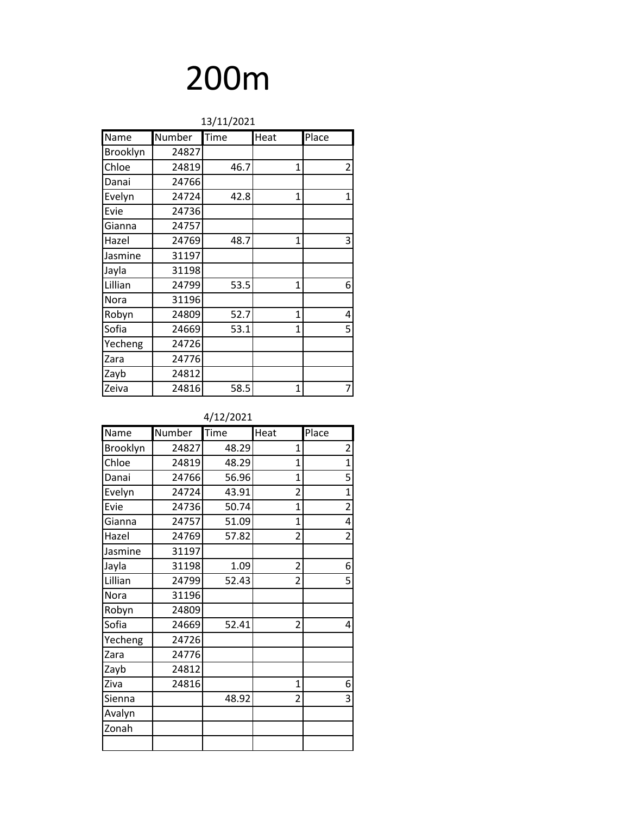| 13/11/2021 |        |      |              |                |
|------------|--------|------|--------------|----------------|
| Name       | Number | Time | Heat         | Place          |
| Brooklyn   | 24827  |      |              |                |
| Chloe      | 24819  | 46.7 | $\mathbf{1}$ | $\overline{2}$ |
| Danai      | 24766  |      |              |                |
| Evelyn     | 24724  | 42.8 | 1            | 1              |
| Evie       | 24736  |      |              |                |
| Gianna     | 24757  |      |              |                |
| Hazel      | 24769  | 48.7 | 1            | 3              |
| Jasmine    | 31197  |      |              |                |
| Jayla      | 31198  |      |              |                |
| Lillian    | 24799  | 53.5 | $\mathbf{1}$ | 6              |
| Nora       | 31196  |      |              |                |
| Robyn      | 24809  | 52.7 | $\mathbf{1}$ | 4              |
| Sofia      | 24669  | 53.1 | 1            | 5              |
| Yecheng    | 24726  |      |              |                |
| Zara       | 24776  |      |              |                |
| Zayb       | 24812  |      |              |                |
| Zeiva      | 24816  | 58.5 | 1            |                |

### 4/12/2021

| Name     | Number | Time  | Heat           | Place          |
|----------|--------|-------|----------------|----------------|
| Brooklyn | 24827  | 48.29 | 1              | $\overline{2}$ |
| Chloe    | 24819  | 48.29 | 1              | $\mathbf{1}$   |
| Danai    | 24766  | 56.96 | 1              | 5              |
| Evelyn   | 24724  | 43.91 | $\overline{2}$ | $\mathbf{1}$   |
| Evie     | 24736  | 50.74 | 1              | $\overline{2}$ |
| Gianna   | 24757  | 51.09 | 1              | 4              |
| Hazel    | 24769  | 57.82 | $\overline{2}$ | $\overline{2}$ |
| Jasmine  | 31197  |       |                |                |
| Jayla    | 31198  | 1.09  | $\overline{2}$ | 6              |
| Lillian  | 24799  | 52.43 | $\overline{2}$ | 5              |
| Nora     | 31196  |       |                |                |
| Robyn    | 24809  |       |                |                |
| Sofia    | 24669  | 52.41 | $\overline{2}$ | 4              |
| Yecheng  | 24726  |       |                |                |
| Zara     | 24776  |       |                |                |
| Zayb     | 24812  |       |                |                |
| Ziva     | 24816  |       | $\mathbf{1}$   | 6              |
| Sienna   |        | 48.92 | 2              | 3              |
| Avalyn   |        |       |                |                |
| Zonah    |        |       |                |                |
|          |        |       |                |                |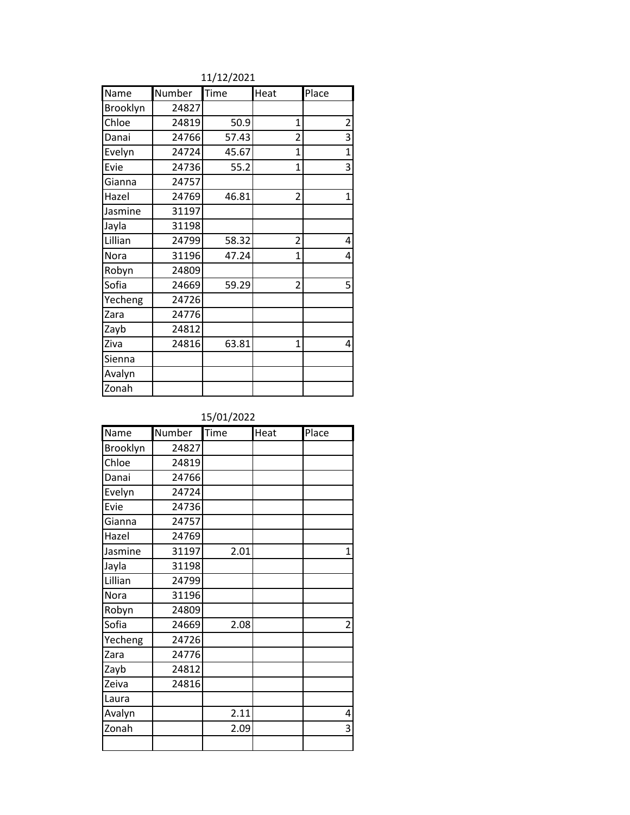| Name     | Number | Time  | Heat           | Place          |
|----------|--------|-------|----------------|----------------|
| Brooklyn | 24827  |       |                |                |
| Chloe    | 24819  | 50.9  | 1              | $\overline{c}$ |
| Danai    | 24766  | 57.43 | $\overline{2}$ | 3              |
| Evelyn   | 24724  | 45.67 | $\mathbf{1}$   | $\mathbf{1}$   |
| Evie     | 24736  | 55.2  | $\overline{1}$ | $\overline{3}$ |
| Gianna   | 24757  |       |                |                |
| Hazel    | 24769  | 46.81 | 2              | $\mathbf{1}$   |
| Jasmine  | 31197  |       |                |                |
| Jayla    | 31198  |       |                |                |
| Lillian  | 24799  | 58.32 | $\overline{2}$ | 4              |
| Nora     | 31196  | 47.24 | $\overline{1}$ | 4              |
| Robyn    | 24809  |       |                |                |
| Sofia    | 24669  | 59.29 | $\overline{2}$ | 5              |
| Yecheng  | 24726  |       |                |                |
| Zara     | 24776  |       |                |                |
| Zayb     | 24812  |       |                |                |
| Ziva     | 24816  | 63.81 | $\mathbf{1}$   | 4              |
| Sienna   |        |       |                |                |
| Avalyn   |        |       |                |                |
| Zonah    |        |       |                |                |

11/12/2021

## 15/01/2022

| Name     | Number | Time | Heat | Place          |
|----------|--------|------|------|----------------|
| Brooklyn | 24827  |      |      |                |
| Chloe    | 24819  |      |      |                |
| Danai    | 24766  |      |      |                |
| Evelyn   | 24724  |      |      |                |
| Evie     | 24736  |      |      |                |
| Gianna   | 24757  |      |      |                |
| Hazel    | 24769  |      |      |                |
| Jasmine  | 31197  | 2.01 |      | $\overline{1}$ |
| Jayla    | 31198  |      |      |                |
| Lillian  | 24799  |      |      |                |
| Nora     | 31196  |      |      |                |
| Robyn    | 24809  |      |      |                |
| Sofia    | 24669  | 2.08 |      | $\overline{2}$ |
| Yecheng  | 24726  |      |      |                |
| Zara     | 24776  |      |      |                |
| Zayb     | 24812  |      |      |                |
| Zeiva    | 24816  |      |      |                |
| Laura    |        |      |      |                |
| Avalyn   |        | 2.11 |      | 4              |
| Zonah    |        | 2.09 |      | 3              |
|          |        |      |      |                |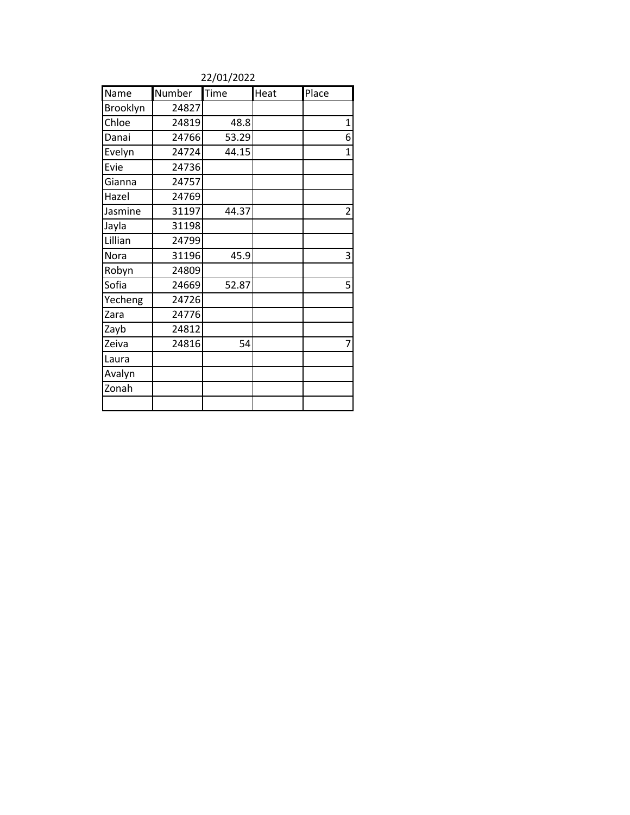| Name     | Number | Time  | Heat | Place          |
|----------|--------|-------|------|----------------|
| Brooklyn | 24827  |       |      |                |
| Chloe    | 24819  | 48.8  |      | $\mathbf{1}$   |
| Danai    | 24766  | 53.29 |      | 6              |
| Evelyn   | 24724  | 44.15 |      | $\overline{1}$ |
| Evie     | 24736  |       |      |                |
| Gianna   | 24757  |       |      |                |
| Hazel    | 24769  |       |      |                |
| Jasmine  | 31197  | 44.37 |      | $\overline{2}$ |
| Jayla    | 31198  |       |      |                |
| Lillian  | 24799  |       |      |                |
| Nora     | 31196  | 45.9  |      | 3              |
| Robyn    | 24809  |       |      |                |
| Sofia    | 24669  | 52.87 |      | 5              |
| Yecheng  | 24726  |       |      |                |
| Zara     | 24776  |       |      |                |
| Zayb     | 24812  |       |      |                |
| Zeiva    | 24816  | 54    |      | 7              |
| Laura    |        |       |      |                |
| Avalyn   |        |       |      |                |
| Zonah    |        |       |      |                |
|          |        |       |      |                |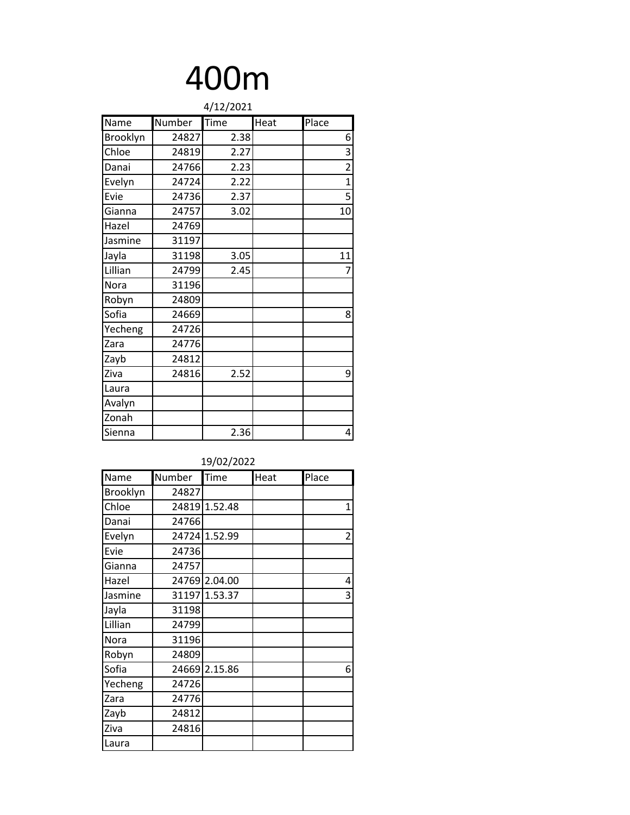| 4/12/2021 |        |      |      |                |  |
|-----------|--------|------|------|----------------|--|
| Name      | Number | Time | Heat | Place          |  |
| Brooklyn  | 24827  | 2.38 |      | 6              |  |
| Chloe     | 24819  | 2.27 |      | 3              |  |
| Danai     | 24766  | 2.23 |      | $\overline{2}$ |  |
| Evelyn    | 24724  | 2.22 |      | 1              |  |
| Evie      | 24736  | 2.37 |      | 5              |  |
| Gianna    | 24757  | 3.02 |      | 10             |  |
| Hazel     | 24769  |      |      |                |  |
| Jasmine   | 31197  |      |      |                |  |
| Jayla     | 31198  | 3.05 |      | 11             |  |
| Lillian   | 24799  | 2.45 |      | 7              |  |
| Nora      | 31196  |      |      |                |  |
| Robyn     | 24809  |      |      |                |  |
| Sofia     | 24669  |      |      | 8              |  |
| Yecheng   | 24726  |      |      |                |  |
| Zara      | 24776  |      |      |                |  |
| Zayb      | 24812  |      |      |                |  |
| Ziva      | 24816  | 2.52 |      | 9              |  |
| Laura     |        |      |      |                |  |
| Avalyn    |        |      |      |                |  |
| Zonah     |        |      |      |                |  |
| Sienna    |        | 2.36 |      | 4              |  |

| 19/02/2022 |        |               |      |                |  |
|------------|--------|---------------|------|----------------|--|
| Name       | Number | Time          | Heat | Place          |  |
| Brooklyn   | 24827  |               |      |                |  |
| Chloe      | 24819  | 1.52.48       |      | $\mathbf 1$    |  |
| Danai      | 24766  |               |      |                |  |
| Evelyn     | 24724  | 1.52.99       |      | $\overline{c}$ |  |
| Evie       | 24736  |               |      |                |  |
| Gianna     | 24757  |               |      |                |  |
| Hazel      |        | 24769 2.04.00 |      | 4              |  |
| Jasmine    |        | 31197 1.53.37 |      | 3              |  |
| Jayla      | 31198  |               |      |                |  |
| Lillian    | 24799  |               |      |                |  |
| Nora       | 31196  |               |      |                |  |
| Robyn      | 24809  |               |      |                |  |
| Sofia      | 24669  | 2.15.86       |      | 6              |  |
| Yecheng    | 24726  |               |      |                |  |
| Zara       | 24776  |               |      |                |  |
| Zayb       | 24812  |               |      |                |  |
| Ziva       | 24816  |               |      |                |  |
| Laura      |        |               |      |                |  |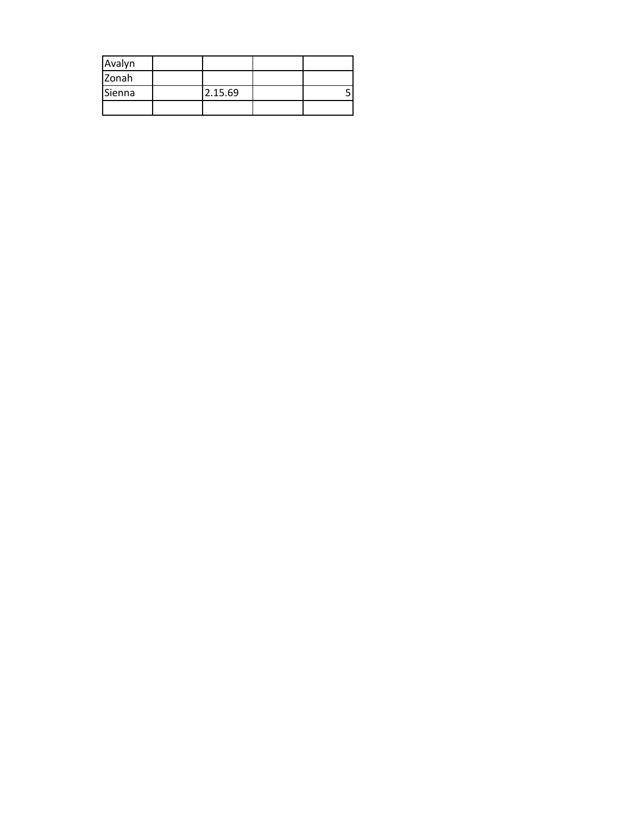| Avalyn |         |  |
|--------|---------|--|
| Zonah  |         |  |
| Sienna | 2.15.69 |  |
|        |         |  |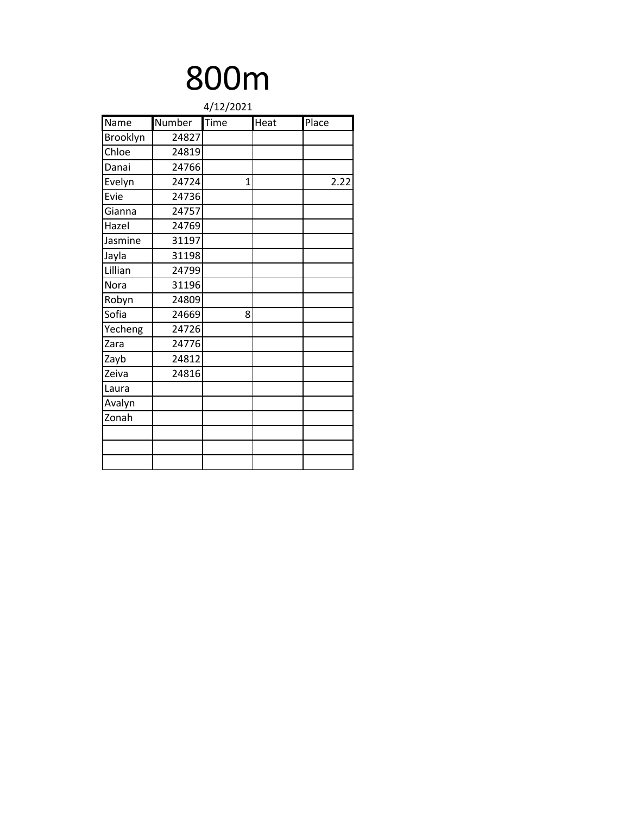| 4/12/2021 |        |      |      |       |  |
|-----------|--------|------|------|-------|--|
| Name      | Number | Time | Heat | Place |  |
| Brooklyn  | 24827  |      |      |       |  |
| Chloe     | 24819  |      |      |       |  |
| Danai     | 24766  |      |      |       |  |
| Evelyn    | 24724  | 1    |      | 2.22  |  |
| Evie      | 24736  |      |      |       |  |
| Gianna    | 24757  |      |      |       |  |
| Hazel     | 24769  |      |      |       |  |
| Jasmine   | 31197  |      |      |       |  |
| Jayla     | 31198  |      |      |       |  |
| Lillian   | 24799  |      |      |       |  |
| Nora      | 31196  |      |      |       |  |
| Robyn     | 24809  |      |      |       |  |
| Sofia     | 24669  | 8    |      |       |  |
| Yecheng   | 24726  |      |      |       |  |
| Zara      | 24776  |      |      |       |  |
| Zayb      | 24812  |      |      |       |  |
| Zeiva     | 24816  |      |      |       |  |
| Laura     |        |      |      |       |  |
| Avalyn    |        |      |      |       |  |
| Zonah     |        |      |      |       |  |
|           |        |      |      |       |  |
|           |        |      |      |       |  |
|           |        |      |      |       |  |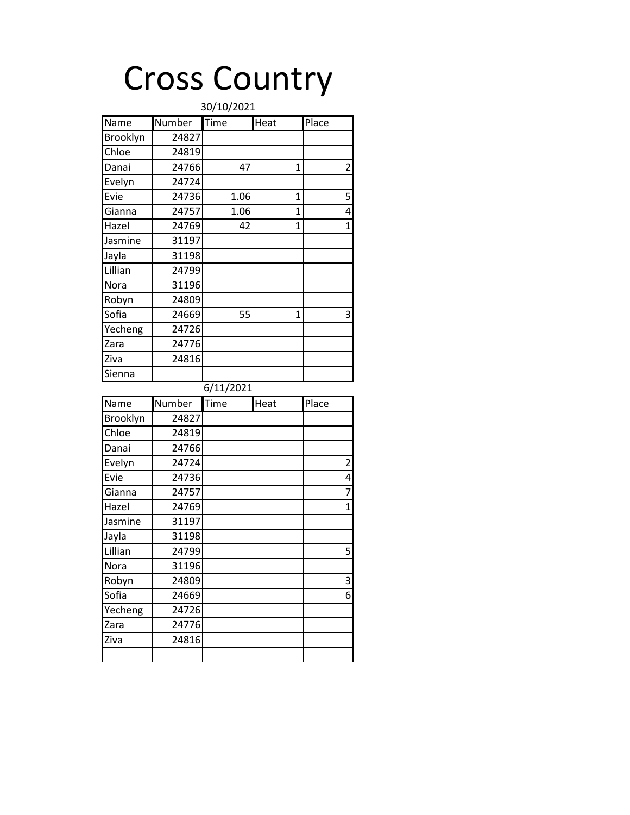# Cross Country

| 30/10/2021 |        |                            |                |                         |  |
|------------|--------|----------------------------|----------------|-------------------------|--|
| Name       | Number | $\overline{\mathsf{Time}}$ | Heat           | Place                   |  |
| Brooklyn   | 24827  |                            |                |                         |  |
| Chloe      | 24819  |                            |                |                         |  |
| Danai      | 24766  | 47                         | 1              | 2                       |  |
| Evelyn     | 24724  |                            |                |                         |  |
| Evie       | 24736  | 1.06                       | $\overline{1}$ | 5                       |  |
| Gianna     | 24757  | 1.06                       | 1              | 4                       |  |
| Hazel      | 24769  | 42                         | 1              | $\overline{1}$          |  |
| Jasmine    | 31197  |                            |                |                         |  |
| Jayla      | 31198  |                            |                |                         |  |
| Lillian    | 24799  |                            |                |                         |  |
| Nora       | 31196  |                            |                |                         |  |
| Robyn      | 24809  |                            |                |                         |  |
| Sofia      | 24669  | 55                         | $\mathbf{1}$   | 3                       |  |
| Yecheng    | 24726  |                            |                |                         |  |
| Zara       | 24776  |                            |                |                         |  |
| Ziva       | 24816  |                            |                |                         |  |
| Sienna     |        |                            |                |                         |  |
|            |        | 6/11/2021                  |                |                         |  |
| Name       | Number | Time                       | Heat           | Place                   |  |
| Brooklyn   | 24827  |                            |                |                         |  |
| Chloe      | 24819  |                            |                |                         |  |
| Danai      | 24766  |                            |                |                         |  |
| Evelyn     | 24724  |                            |                | $\overline{\mathbf{c}}$ |  |
| Evie       | 24736  |                            |                | 4                       |  |
| Gianna     | 24757  |                            |                | $\overline{7}$          |  |
| Hazel      | 24769  |                            |                | $\overline{1}$          |  |
| Jasmine    | 31197  |                            |                |                         |  |
| Jayla      | 31198  |                            |                |                         |  |
| Lillian    | 24799  |                            |                | 5                       |  |
| Nora       | 31196  |                            |                |                         |  |
| Robyn      | 24809  |                            |                | 3                       |  |
| Sofia      | 24669  |                            |                | 6                       |  |
| Yecheng    | 24726  |                            |                |                         |  |
| Zara       | 24776  |                            |                |                         |  |
|            |        |                            |                |                         |  |
| Ziva       | 24816  |                            |                |                         |  |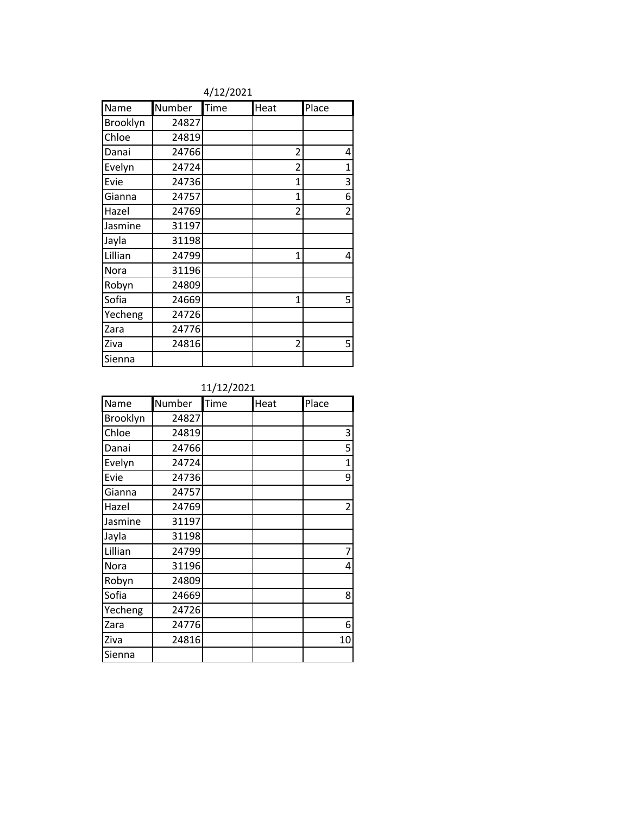|          |        | $1 - -1 - 0$ |                |                |
|----------|--------|--------------|----------------|----------------|
| Name     | Number | Time         | Heat           | Place          |
| Brooklyn | 24827  |              |                |                |
| Chloe    | 24819  |              |                |                |
| Danai    | 24766  |              | $\overline{2}$ | 4              |
| Evelyn   | 24724  |              | $\overline{2}$ | $\mathbf 1$    |
| Evie     | 24736  |              | 1              | 3              |
| Gianna   | 24757  |              | $\mathbf{1}$   | 6              |
| Hazel    | 24769  |              | $\overline{2}$ | $\overline{2}$ |
| Jasmine  | 31197  |              |                |                |
| Jayla    | 31198  |              |                |                |
| Lillian  | 24799  |              | $\mathbf{1}$   | 4              |
| Nora     | 31196  |              |                |                |
| Robyn    | 24809  |              |                |                |
| Sofia    | 24669  |              | $\mathbf{1}$   | 5              |
| Yecheng  | 24726  |              |                |                |
| Zara     | 24776  |              |                |                |
| Ziva     | 24816  |              | 2              | 5              |
| Sienna   |        |              |                |                |

#### 4/12/2021

## 11/12/2021

| Name     | Number | Time | Heat | Place          |
|----------|--------|------|------|----------------|
| Brooklyn | 24827  |      |      |                |
| Chloe    | 24819  |      |      | 3              |
| Danai    | 24766  |      |      | 5              |
| Evelyn   | 24724  |      |      | 1              |
| Evie     | 24736  |      |      | 9              |
| Gianna   | 24757  |      |      |                |
| Hazel    | 24769  |      |      | $\overline{2}$ |
| Jasmine  | 31197  |      |      |                |
| Jayla    | 31198  |      |      |                |
| Lillian  | 24799  |      |      | 7              |
| Nora     | 31196  |      |      | 4              |
| Robyn    | 24809  |      |      |                |
| Sofia    | 24669  |      |      | 8              |
| Yecheng  | 24726  |      |      |                |
| Zara     | 24776  |      |      | 6              |
| Ziva     | 24816  |      |      | 10             |
| Sienna   |        |      |      |                |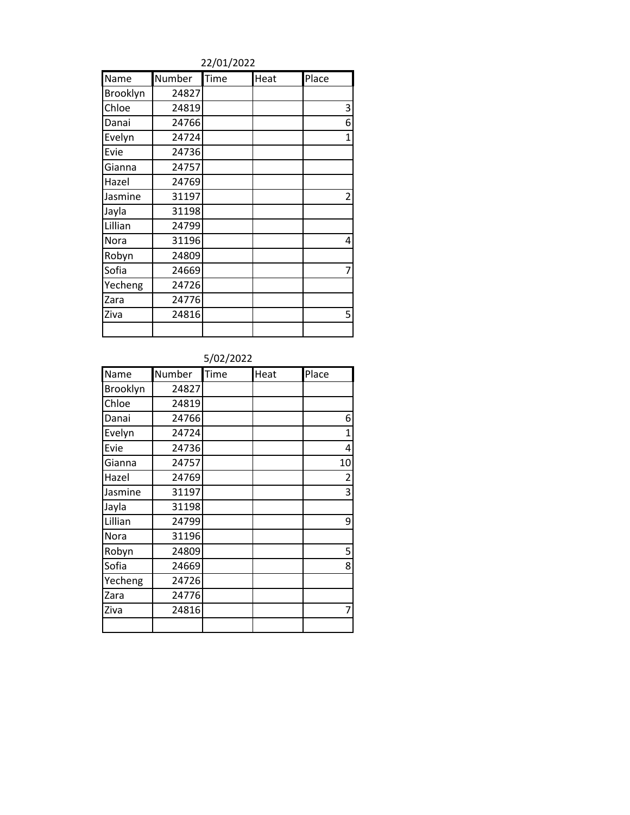22/01/2022

| Name     | Number | Time | Heat | Place          |
|----------|--------|------|------|----------------|
| Brooklyn | 24827  |      |      |                |
| Chloe    | 24819  |      |      | 3              |
| Danai    | 24766  |      |      | 6              |
| Evelyn   | 24724  |      |      | 1              |
| Evie     | 24736  |      |      |                |
| Gianna   | 24757  |      |      |                |
| Hazel    | 24769  |      |      |                |
| Jasmine  | 31197  |      |      | $\overline{2}$ |
| Jayla    | 31198  |      |      |                |
| Lillian  | 24799  |      |      |                |
| Nora     | 31196  |      |      | 4              |
| Robyn    | 24809  |      |      |                |
| Sofia    | 24669  |      |      | 7              |
| Yecheng  | 24726  |      |      |                |
| Zara     | 24776  |      |      |                |
| Ziva     | 24816  |      |      | 5              |
|          |        |      |      |                |

| Name     | Number | Time | Heat | Place          |
|----------|--------|------|------|----------------|
| Brooklyn | 24827  |      |      |                |
| Chloe    | 24819  |      |      |                |
| Danai    | 24766  |      |      | 6              |
| Evelyn   | 24724  |      |      | $\mathbf{1}$   |
| Evie     | 24736  |      |      | 4              |
| Gianna   | 24757  |      |      | 10             |
| Hazel    | 24769  |      |      | $\overline{2}$ |
| Jasmine  | 31197  |      |      | 3              |
| Jayla    | 31198  |      |      |                |
| Lillian  | 24799  |      |      | 9              |
| Nora     | 31196  |      |      |                |
| Robyn    | 24809  |      |      | 5              |
| Sofia    | 24669  |      |      | 8              |
| Yecheng  | 24726  |      |      |                |
| Zara     | 24776  |      |      |                |
| Ziva     | 24816  |      |      | 7              |
|          |        |      |      |                |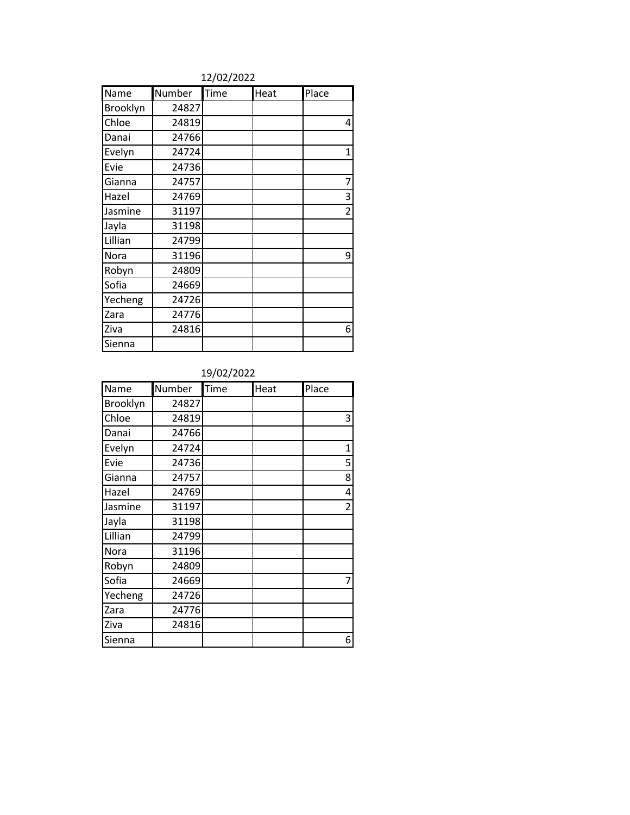| Name     | Number | Time | Heat | Place          |
|----------|--------|------|------|----------------|
| Brooklyn | 24827  |      |      |                |
| Chloe    | 24819  |      |      | 4              |
| Danai    | 24766  |      |      |                |
| Evelyn   | 24724  |      |      | $\mathbf{1}$   |
| Evie     | 24736  |      |      |                |
| Gianna   | 24757  |      |      | 7              |
| Hazel    | 24769  |      |      | 3              |
| Jasmine  | 31197  |      |      | $\overline{2}$ |
| Jayla    | 31198  |      |      |                |
| Lillian  | 24799  |      |      |                |
| Nora     | 31196  |      |      | 9              |
| Robyn    | 24809  |      |      |                |
| Sofia    | 24669  |      |      |                |
| Yecheng  | 24726  |      |      |                |
| Zara     | 24776  |      |      |                |
| Ziva     | 24816  |      |      | 6              |
| Sienna   |        |      |      |                |

| Name     | Number | Time | Heat | Place          |
|----------|--------|------|------|----------------|
| Brooklyn | 24827  |      |      |                |
| Chloe    | 24819  |      |      | 3              |
| Danai    | 24766  |      |      |                |
| Evelyn   | 24724  |      |      | 1              |
| Evie     | 24736  |      |      | 5              |
| Gianna   | 24757  |      |      | 8              |
| Hazel    | 24769  |      |      | 4              |
| Jasmine  | 31197  |      |      | $\overline{2}$ |
| Jayla    | 31198  |      |      |                |
| Lillian  | 24799  |      |      |                |
| Nora     | 31196  |      |      |                |
| Robyn    | 24809  |      |      |                |
| Sofia    | 24669  |      |      | 7              |
| Yecheng  | 24726  |      |      |                |
| Zara     | 24776  |      |      |                |
| Ziva     | 24816  |      |      |                |
| Sienna   |        |      |      | 6              |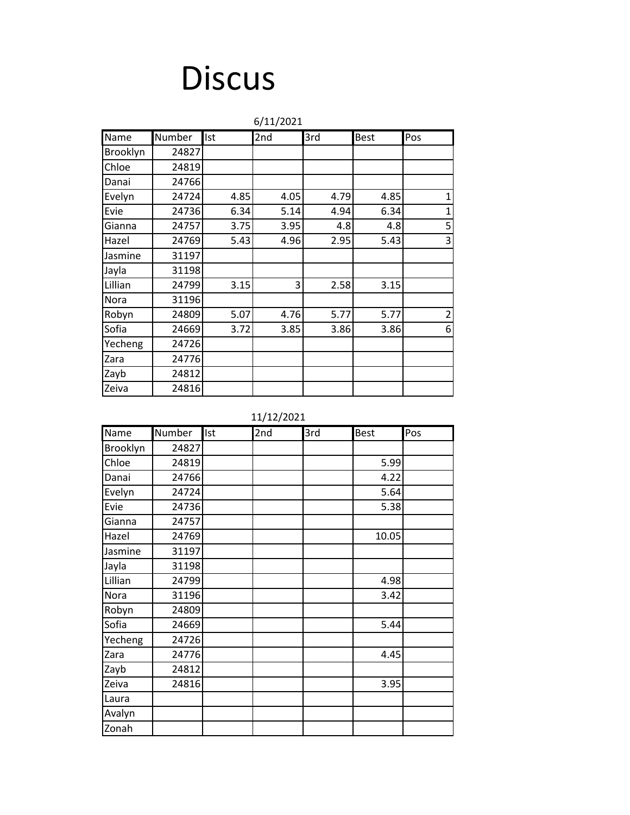## **Discus**

|          |        |      | 6/11/2021 |      |      |                |
|----------|--------|------|-----------|------|------|----------------|
| Name     | Number | Ist  | 2nd       | 3rd  | Best | Pos            |
| Brooklyn | 24827  |      |           |      |      |                |
| Chloe    | 24819  |      |           |      |      |                |
| Danai    | 24766  |      |           |      |      |                |
| Evelyn   | 24724  | 4.85 | 4.05      | 4.79 | 4.85 | $\mathbf 1$    |
| Evie     | 24736  | 6.34 | 5.14      | 4.94 | 6.34 | $\mathbf 1$    |
| Gianna   | 24757  | 3.75 | 3.95      | 4.8  | 4.8  | 5              |
| Hazel    | 24769  | 5.43 | 4.96      | 2.95 | 5.43 | 3              |
| Jasmine  | 31197  |      |           |      |      |                |
| Jayla    | 31198  |      |           |      |      |                |
| Lillian  | 24799  | 3.15 | 3         | 2.58 | 3.15 |                |
| Nora     | 31196  |      |           |      |      |                |
| Robyn    | 24809  | 5.07 | 4.76      | 5.77 | 5.77 | $\overline{2}$ |
| Sofia    | 24669  | 3.72 | 3.85      | 3.86 | 3.86 | 6              |
| Yecheng  | 24726  |      |           |      |      |                |
| Zara     | 24776  |      |           |      |      |                |
| Zayb     | 24812  |      |           |      |      |                |
| Zeiva    | 24816  |      |           |      |      |                |

### 11/12/2021

| Name     | Number | <b>Ist</b> | 2nd | 3rd | <b>Best</b> | Pos |
|----------|--------|------------|-----|-----|-------------|-----|
| Brooklyn | 24827  |            |     |     |             |     |
| Chloe    | 24819  |            |     |     | 5.99        |     |
| Danai    | 24766  |            |     |     | 4.22        |     |
| Evelyn   | 24724  |            |     |     | 5.64        |     |
| Evie     | 24736  |            |     |     | 5.38        |     |
| Gianna   | 24757  |            |     |     |             |     |
| Hazel    | 24769  |            |     |     | 10.05       |     |
| Jasmine  | 31197  |            |     |     |             |     |
| Jayla    | 31198  |            |     |     |             |     |
| Lillian  | 24799  |            |     |     | 4.98        |     |
| Nora     | 31196  |            |     |     | 3.42        |     |
| Robyn    | 24809  |            |     |     |             |     |
| Sofia    | 24669  |            |     |     | 5.44        |     |
| Yecheng  | 24726  |            |     |     |             |     |
| Zara     | 24776  |            |     |     | 4.45        |     |
| Zayb     | 24812  |            |     |     |             |     |
| Zeiva    | 24816  |            |     |     | 3.95        |     |
| Laura    |        |            |     |     |             |     |
| Avalyn   |        |            |     |     |             |     |
| Zonah    |        |            |     |     |             |     |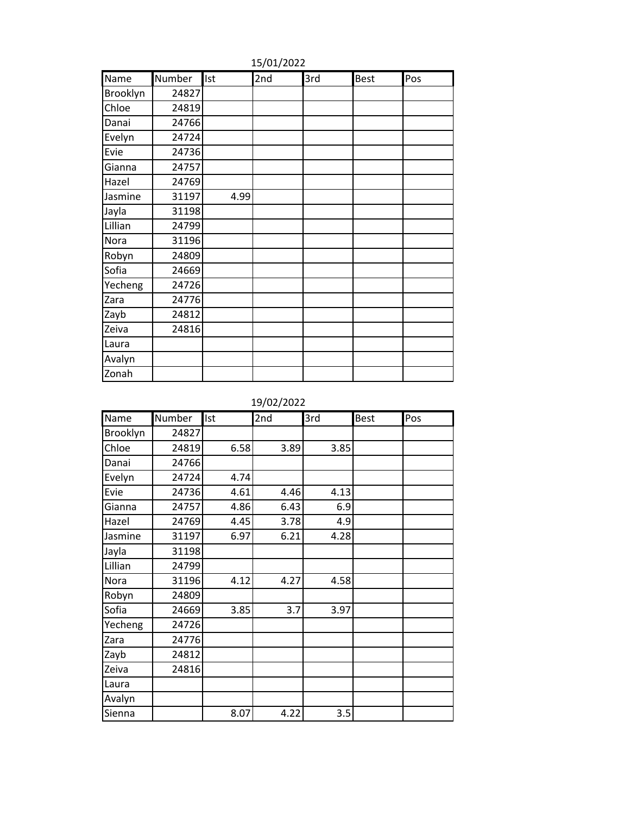| Name     | Number | Ist  | 2nd | 3rd | <b>Best</b> | Pos |
|----------|--------|------|-----|-----|-------------|-----|
| Brooklyn | 24827  |      |     |     |             |     |
| Chloe    | 24819  |      |     |     |             |     |
| Danai    | 24766  |      |     |     |             |     |
| Evelyn   | 24724  |      |     |     |             |     |
| Evie     | 24736  |      |     |     |             |     |
| Gianna   | 24757  |      |     |     |             |     |
| Hazel    | 24769  |      |     |     |             |     |
| Jasmine  | 31197  | 4.99 |     |     |             |     |
| Jayla    | 31198  |      |     |     |             |     |
| Lillian  | 24799  |      |     |     |             |     |
| Nora     | 31196  |      |     |     |             |     |
| Robyn    | 24809  |      |     |     |             |     |
| Sofia    | 24669  |      |     |     |             |     |
| Yecheng  | 24726  |      |     |     |             |     |
| Zara     | 24776  |      |     |     |             |     |
| Zayb     | 24812  |      |     |     |             |     |
| Zeiva    | 24816  |      |     |     |             |     |
| Laura    |        |      |     |     |             |     |
| Avalyn   |        |      |     |     |             |     |
| Zonah    |        |      |     |     |             |     |

15/01/2022

19/02/2022

| Name     | Number | Ist  | 2nd  | 3rd  | <b>Best</b> | Pos |
|----------|--------|------|------|------|-------------|-----|
| Brooklyn | 24827  |      |      |      |             |     |
| Chloe    | 24819  | 6.58 | 3.89 | 3.85 |             |     |
| Danai    | 24766  |      |      |      |             |     |
| Evelyn   | 24724  | 4.74 |      |      |             |     |
| Evie     | 24736  | 4.61 | 4.46 | 4.13 |             |     |
| Gianna   | 24757  | 4.86 | 6.43 | 6.9  |             |     |
| Hazel    | 24769  | 4.45 | 3.78 | 4.9  |             |     |
| Jasmine  | 31197  | 6.97 | 6.21 | 4.28 |             |     |
| Jayla    | 31198  |      |      |      |             |     |
| Lillian  | 24799  |      |      |      |             |     |
| Nora     | 31196  | 4.12 | 4.27 | 4.58 |             |     |
| Robyn    | 24809  |      |      |      |             |     |
| Sofia    | 24669  | 3.85 | 3.7  | 3.97 |             |     |
| Yecheng  | 24726  |      |      |      |             |     |
| Zara     | 24776  |      |      |      |             |     |
| Zayb     | 24812  |      |      |      |             |     |
| Zeiva    | 24816  |      |      |      |             |     |
| Laura    |        |      |      |      |             |     |
| Avalyn   |        |      |      |      |             |     |
| Sienna   |        | 8.07 | 4.22 | 3.5  |             |     |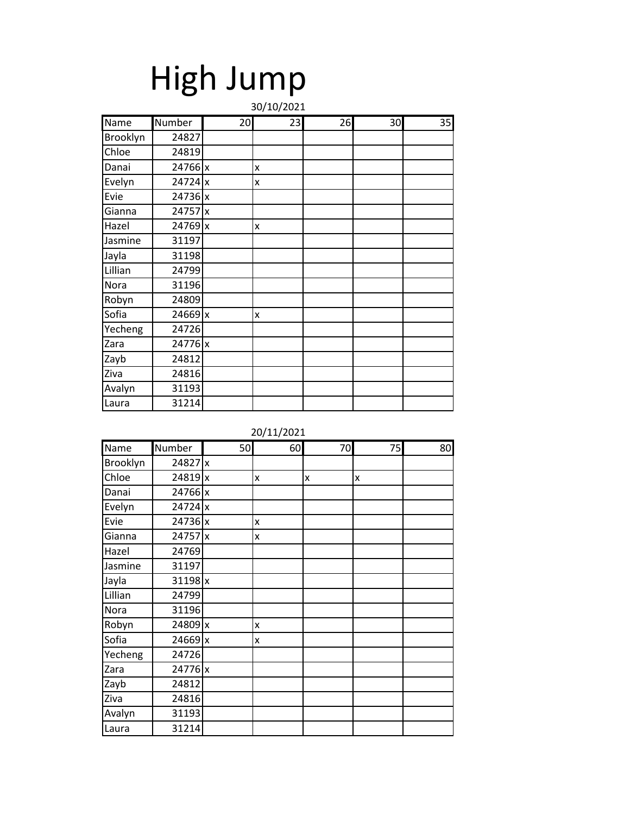|          | High Jump |    |            |    |    |    |  |
|----------|-----------|----|------------|----|----|----|--|
|          |           |    | 30/10/2021 |    |    |    |  |
| Name     | Number    | 20 | 23         | 26 | 30 | 35 |  |
| Brooklyn | 24827     |    |            |    |    |    |  |
| Chloe    | 24819     |    |            |    |    |    |  |
| Danai    | 24766 x   |    | x          |    |    |    |  |
| Evelyn   | 24724 x   |    | x          |    |    |    |  |
| Evie     | 24736 x   |    |            |    |    |    |  |
| Gianna   | 24757 x   |    |            |    |    |    |  |
| Hazel    | 24769 x   |    | X          |    |    |    |  |
| Jasmine  | 31197     |    |            |    |    |    |  |
| Jayla    | 31198     |    |            |    |    |    |  |
| Lillian  | 24799     |    |            |    |    |    |  |
| Nora     | 31196     |    |            |    |    |    |  |
| Robyn    | 24809     |    |            |    |    |    |  |
| Sofia    | 24669 x   |    | X          |    |    |    |  |
| Yecheng  | 24726     |    |            |    |    |    |  |
| Zara     | 24776 x   |    |            |    |    |    |  |
| Zayb     | 24812     |    |            |    |    |    |  |
| Ziva     | 24816     |    |            |    |    |    |  |

Avalyn 31193 Laura 31214

| Name     | Number    | 50 | 60 | 70 | 75 | 80 |
|----------|-----------|----|----|----|----|----|
| Brooklyn | 24827 x   |    |    |    |    |    |
| Chloe    | 24819x    |    | X  | X  | x  |    |
| Danai    | 24766 x   |    |    |    |    |    |
| Evelyn   | 24724 x   |    |    |    |    |    |
| Evie     | 24736 x   |    | X  |    |    |    |
| Gianna   | 24757 x   |    | X  |    |    |    |
| Hazel    | 24769     |    |    |    |    |    |
| Jasmine  | 31197     |    |    |    |    |    |
| Jayla    | $31198$ x |    |    |    |    |    |
| Lillian  | 24799     |    |    |    |    |    |
| Nora     | 31196     |    |    |    |    |    |
| Robyn    | 24809 x   |    | X  |    |    |    |
| Sofia    | 24669 x   |    | X  |    |    |    |
| Yecheng  | 24726     |    |    |    |    |    |
| Zara     | 24776 x   |    |    |    |    |    |
| Zayb     | 24812     |    |    |    |    |    |
| Ziva     | 24816     |    |    |    |    |    |
| Avalyn   | 31193     |    |    |    |    |    |
| Laura    | 31214     |    |    |    |    |    |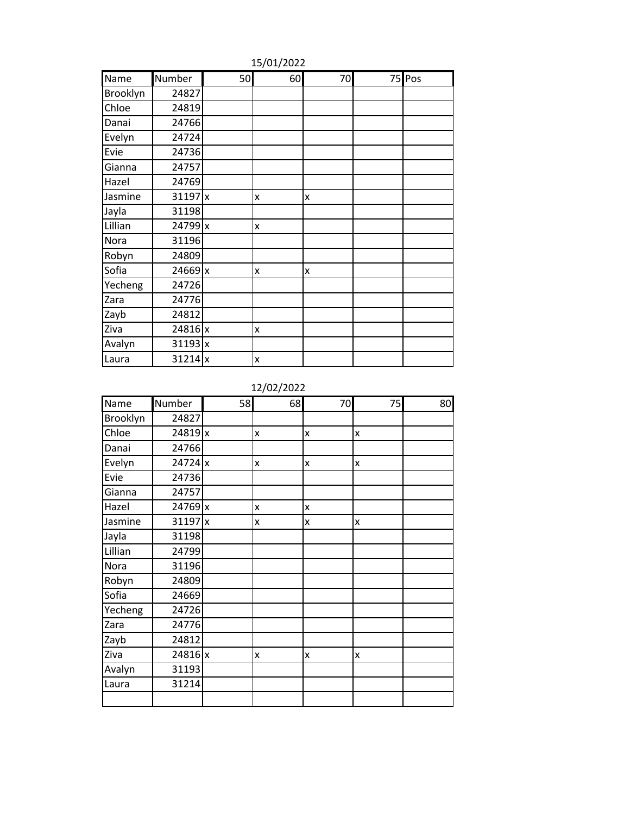| Name     | Number    | 50 | 60 | 70 | 75 Pos |
|----------|-----------|----|----|----|--------|
| Brooklyn | 24827     |    |    |    |        |
| Chloe    | 24819     |    |    |    |        |
| Danai    | 24766     |    |    |    |        |
| Evelyn   | 24724     |    |    |    |        |
| Evie     | 24736     |    |    |    |        |
| Gianna   | 24757     |    |    |    |        |
| Hazel    | 24769     |    |    |    |        |
| Jasmine  | $31197$ x |    | X  | x  |        |
| Jayla    | 31198     |    |    |    |        |
| Lillian  | 24799 x   |    | X  |    |        |
| Nora     | 31196     |    |    |    |        |
| Robyn    | 24809     |    |    |    |        |
| Sofia    | 24669 x   |    | X  | X  |        |
| Yecheng  | 24726     |    |    |    |        |
| Zara     | 24776     |    |    |    |        |
| Zayb     | 24812     |    |    |    |        |
| Ziva     | 24816 x   |    | X  |    |        |
| Avalyn   | $31193$ x |    |    |    |        |
| Laura    | $31214$ x |    | X  |    |        |

15/01/2022

12/02/2022

| Name     | Number    | 58 | 68           | 70           | 75           | 80 |
|----------|-----------|----|--------------|--------------|--------------|----|
| Brooklyn | 24827     |    |              |              |              |    |
| Chloe    | 24819 x   |    | $\mathsf{x}$ | $\mathsf{x}$ | $\mathsf{x}$ |    |
| Danai    | 24766     |    |              |              |              |    |
| Evelyn   | 24724 x   |    | X            | X            | $\mathsf{x}$ |    |
| Evie     | 24736     |    |              |              |              |    |
| Gianna   | 24757     |    |              |              |              |    |
| Hazel    | 24769 x   |    | X            | X            |              |    |
| Jasmine  | $31197$ x |    | X            | $\mathsf{x}$ | $\mathsf{x}$ |    |
| Jayla    | 31198     |    |              |              |              |    |
| Lillian  | 24799     |    |              |              |              |    |
| Nora     | 31196     |    |              |              |              |    |
| Robyn    | 24809     |    |              |              |              |    |
| Sofia    | 24669     |    |              |              |              |    |
| Yecheng  | 24726     |    |              |              |              |    |
| Zara     | 24776     |    |              |              |              |    |
| Zayb     | 24812     |    |              |              |              |    |
| Ziva     | 24816 x   |    | $\mathsf{x}$ | $\mathsf{x}$ | $\mathsf{x}$ |    |
| Avalyn   | 31193     |    |              |              |              |    |
| Laura    | 31214     |    |              |              |              |    |
|          |           |    |              |              |              |    |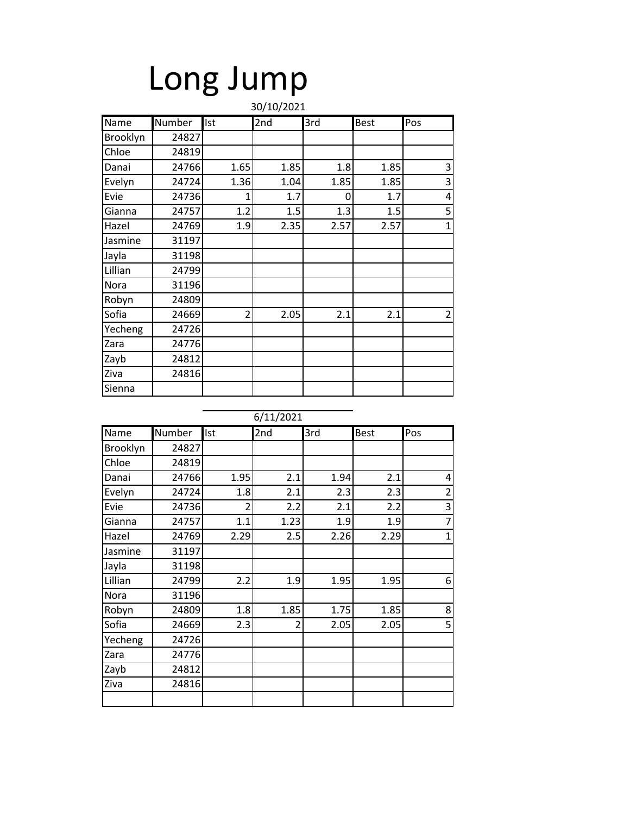|          | Long Jump |                |            |      |             |                |  |  |
|----------|-----------|----------------|------------|------|-------------|----------------|--|--|
|          |           |                | 30/10/2021 |      |             |                |  |  |
| Name     | Number    | Ist            | 2nd        | 3rd  | <b>Best</b> | Pos            |  |  |
| Brooklyn | 24827     |                |            |      |             |                |  |  |
| Chloe    | 24819     |                |            |      |             |                |  |  |
| Danai    | 24766     | 1.65           | 1.85       | 1.8  | 1.85        | 3              |  |  |
| Evelyn   | 24724     | 1.36           | 1.04       | 1.85 | 1.85        | 3              |  |  |
| Evie     | 24736     | 1              | 1.7        | 0    | 1.7         | 4              |  |  |
| Gianna   | 24757     | 1.2            | 1.5        | 1.3  | 1.5         | 5              |  |  |
| Hazel    | 24769     | 1.9            | 2.35       | 2.57 | 2.57        | $\overline{1}$ |  |  |
| Jasmine  | 31197     |                |            |      |             |                |  |  |
| Jayla    | 31198     |                |            |      |             |                |  |  |
| Lillian  | 24799     |                |            |      |             |                |  |  |
| Nora     | 31196     |                |            |      |             |                |  |  |
| Robyn    | 24809     |                |            |      |             |                |  |  |
| Sofia    | 24669     | $\overline{2}$ | 2.05       | 2.1  | 2.1         | $\overline{2}$ |  |  |
| Yecheng  | 24726     |                |            |      |             |                |  |  |
| Zara     | 24776     |                |            |      |             |                |  |  |
| Zayb     | 24812     |                |            |      |             |                |  |  |
| Ziva     | 24816     |                |            |      |             |                |  |  |
| Sienna   |           |                |            |      |             |                |  |  |

|          |        |                          | 6/11/2021 |      |             |                |
|----------|--------|--------------------------|-----------|------|-------------|----------------|
| Name     | Number | Ist                      | 2nd       | 3rd  | <b>Best</b> | Pos            |
| Brooklyn | 24827  |                          |           |      |             |                |
| Chloe    | 24819  |                          |           |      |             |                |
| Danai    | 24766  | 1.95                     | 2.1       | 1.94 | 2.1         | 4              |
| Evelyn   | 24724  | 1.8                      | 2.1       | 2.3  | 2.3         | $\overline{2}$ |
| Evie     | 24736  | $\overline{\mathcal{L}}$ | 2.2       | 2.1  | 2.2         | 3              |
| Gianna   | 24757  | 1.1                      | 1.23      | 1.9  | 1.9         | $\overline{7}$ |
| Hazel    | 24769  | 2.29                     | 2.5       | 2.26 | 2.29        | $\overline{1}$ |
| Jasmine  | 31197  |                          |           |      |             |                |
| Jayla    | 31198  |                          |           |      |             |                |
| Lillian  | 24799  | 2.2                      | 1.9       | 1.95 | 1.95        | 6              |
| Nora     | 31196  |                          |           |      |             |                |
| Robyn    | 24809  | 1.8                      | 1.85      | 1.75 | 1.85        | 8              |
| Sofia    | 24669  | 2.3                      | 2         | 2.05 | 2.05        | 5              |
| Yecheng  | 24726  |                          |           |      |             |                |
| Zara     | 24776  |                          |           |      |             |                |
| Zayb     | 24812  |                          |           |      |             |                |
| Ziva     | 24816  |                          |           |      |             |                |
|          |        |                          |           |      |             |                |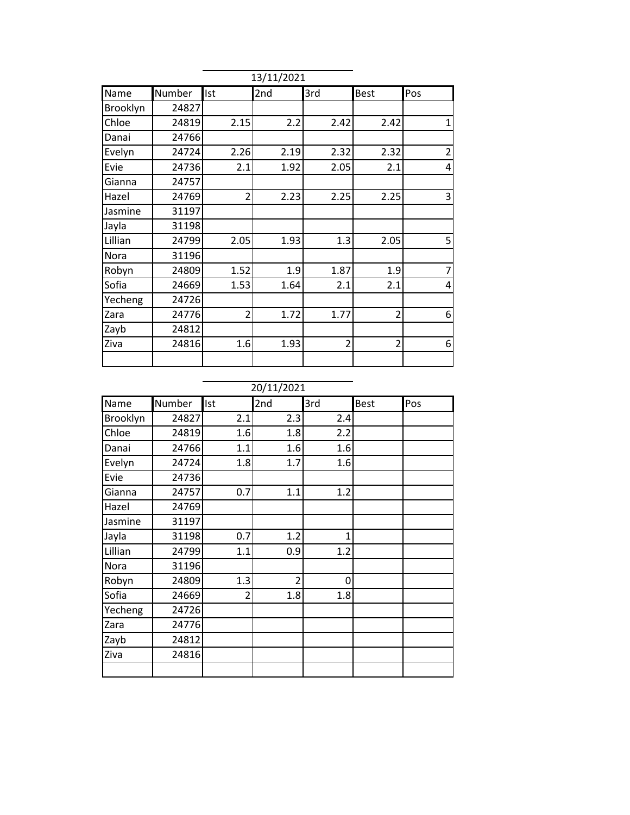|          |        |                | 13/11/2021 |                |                |                |
|----------|--------|----------------|------------|----------------|----------------|----------------|
| Name     | Number | Ist            | 2nd        | 3rd            | <b>Best</b>    | Pos            |
| Brooklyn | 24827  |                |            |                |                |                |
| Chloe    | 24819  | 2.15           | 2.2        | 2.42           | 2.42           | $\overline{1}$ |
| Danai    | 24766  |                |            |                |                |                |
| Evelyn   | 24724  | 2.26           | 2.19       | 2.32           | 2.32           | $\overline{2}$ |
| Evie     | 24736  | 2.1            | 1.92       | 2.05           | 2.1            | 4              |
| Gianna   | 24757  |                |            |                |                |                |
| Hazel    | 24769  | 2              | 2.23       | 2.25           | 2.25           | 3              |
| Jasmine  | 31197  |                |            |                |                |                |
| Jayla    | 31198  |                |            |                |                |                |
| Lillian  | 24799  | 2.05           | 1.93       | 1.3            | 2.05           | 5              |
| Nora     | 31196  |                |            |                |                |                |
| Robyn    | 24809  | 1.52           | 1.9        | 1.87           | 1.9            | 7              |
| Sofia    | 24669  | 1.53           | 1.64       | 2.1            | 2.1            | 4              |
| Yecheng  | 24726  |                |            |                |                |                |
| Zara     | 24776  | $\overline{2}$ | 1.72       | 1.77           | $\overline{2}$ | 6              |
| Zayb     | 24812  |                |            |                |                |                |
| Ziva     | 24816  | 1.6            | 1.93       | $\overline{2}$ | $\overline{2}$ | 6              |
|          |        |                |            |                |                |                |

| Name     | Number | Ist            | 2nd            | 3rd | <b>Best</b> | Pos |
|----------|--------|----------------|----------------|-----|-------------|-----|
| Brooklyn | 24827  | 2.1            | 2.3            | 2.4 |             |     |
| Chloe    | 24819  | 1.6            | 1.8            | 2.2 |             |     |
| Danai    | 24766  | 1.1            | 1.6            | 1.6 |             |     |
| Evelyn   | 24724  | 1.8            | 1.7            | 1.6 |             |     |
| Evie     | 24736  |                |                |     |             |     |
| Gianna   | 24757  | 0.7            | 1.1            | 1.2 |             |     |
| Hazel    | 24769  |                |                |     |             |     |
| Jasmine  | 31197  |                |                |     |             |     |
| Jayla    | 31198  | 0.7            | 1.2            | 1   |             |     |
| Lillian  | 24799  | 1.1            | 0.9            | 1.2 |             |     |
| Nora     | 31196  |                |                |     |             |     |
| Robyn    | 24809  | 1.3            | $\overline{2}$ | 0   |             |     |
| Sofia    | 24669  | $\overline{2}$ | 1.8            | 1.8 |             |     |
| Yecheng  | 24726  |                |                |     |             |     |
| Zara     | 24776  |                |                |     |             |     |
| Zayb     | 24812  |                |                |     |             |     |
| Ziva     | 24816  |                |                |     |             |     |
|          |        |                |                |     |             |     |
|          |        |                |                |     |             |     |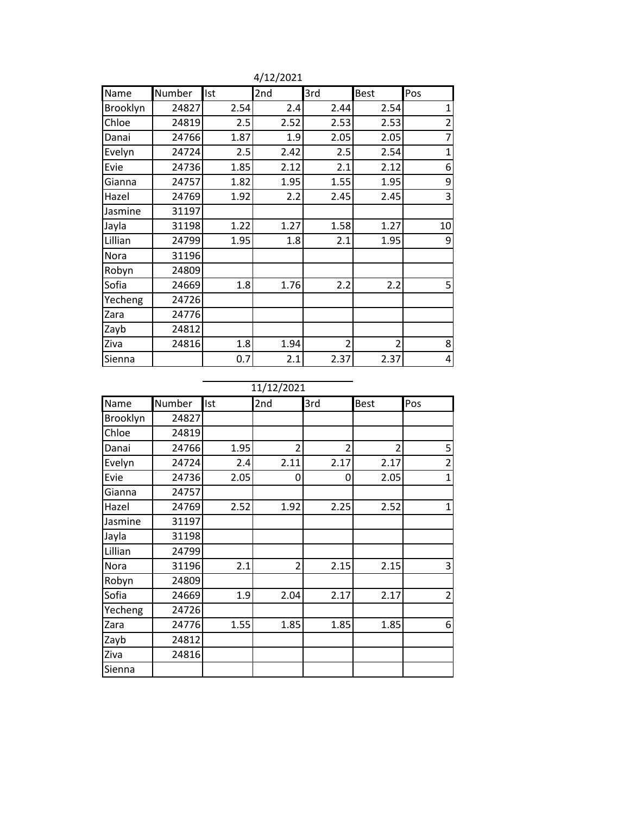| Name     | Number | Ist  | 2nd  | 3rd            | <b>Best</b>    | Pos                     |
|----------|--------|------|------|----------------|----------------|-------------------------|
| Brooklyn | 24827  | 2.54 | 2.4  | 2.44           | 2.54           | $\mathbf{1}$            |
| Chloe    | 24819  | 2.5  | 2.52 | 2.53           | 2.53           | $\overline{\mathbf{c}}$ |
| Danai    | 24766  | 1.87 | 1.9  | 2.05           | 2.05           | $\overline{7}$          |
| Evelyn   | 24724  | 2.5  | 2.42 | 2.5            | 2.54           | $\overline{1}$          |
| Evie     | 24736  | 1.85 | 2.12 | 2.1            | 2.12           | 6                       |
| Gianna   | 24757  | 1.82 | 1.95 | 1.55           | 1.95           | 9                       |
| Hazel    | 24769  | 1.92 | 2.2  | 2.45           | 2.45           | 3                       |
| Jasmine  | 31197  |      |      |                |                |                         |
| Jayla    | 31198  | 1.22 | 1.27 | 1.58           | 1.27           | 10                      |
| Lillian  | 24799  | 1.95 | 1.8  | 2.1            | 1.95           | 9                       |
| Nora     | 31196  |      |      |                |                |                         |
| Robyn    | 24809  |      |      |                |                |                         |
| Sofia    | 24669  | 1.8  | 1.76 | 2.2            | 2.2            | 5                       |
| Yecheng  | 24726  |      |      |                |                |                         |
| Zara     | 24776  |      |      |                |                |                         |
| Zayb     | 24812  |      |      |                |                |                         |
| Ziva     | 24816  | 1.8  | 1.94 | $\overline{2}$ | $\overline{2}$ | 8                       |
| Sienna   |        | 0.7  | 2.1  | 2.37           | 2.37           | 4                       |

4/12/2021

11/12/2021

| Name     | Number | Ist  | 2nd            | 3rd            | <b>Best</b>    | Pos                     |
|----------|--------|------|----------------|----------------|----------------|-------------------------|
| Brooklyn | 24827  |      |                |                |                |                         |
| Chloe    | 24819  |      |                |                |                |                         |
| Danai    | 24766  | 1.95 | $\mathfrak{p}$ | $\overline{2}$ | $\overline{2}$ | 5                       |
| Evelyn   | 24724  | 2.4  | 2.11           | 2.17           | 2.17           | $\overline{2}$          |
| Evie     | 24736  | 2.05 | 0              | 0              | 2.05           | 1                       |
| Gianna   | 24757  |      |                |                |                |                         |
| Hazel    | 24769  | 2.52 | 1.92           | 2.25           | 2.52           | 1                       |
| Jasmine  | 31197  |      |                |                |                |                         |
| Jayla    | 31198  |      |                |                |                |                         |
| Lillian  | 24799  |      |                |                |                |                         |
| Nora     | 31196  | 2.1  | $\overline{2}$ | 2.15           | 2.15           | $\overline{\mathbf{3}}$ |
| Robyn    | 24809  |      |                |                |                |                         |
| Sofia    | 24669  | 1.9  | 2.04           | 2.17           | 2.17           | $\overline{2}$          |
| Yecheng  | 24726  |      |                |                |                |                         |
| Zara     | 24776  | 1.55 | 1.85           | 1.85           | 1.85           | 6                       |
| Zayb     | 24812  |      |                |                |                |                         |
| Ziva     | 24816  |      |                |                |                |                         |
| Sienna   |        |      |                |                |                |                         |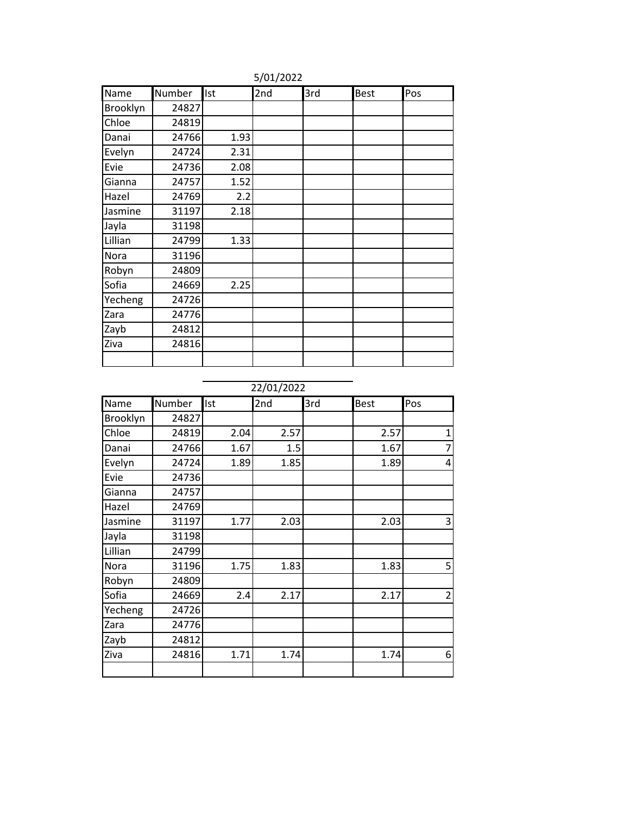| Name     | Number | Ist  | 2nd | 3rd | <b>Best</b> | Pos |
|----------|--------|------|-----|-----|-------------|-----|
| Brooklyn | 24827  |      |     |     |             |     |
| Chloe    | 24819  |      |     |     |             |     |
| Danai    | 24766  | 1.93 |     |     |             |     |
| Evelyn   | 24724  | 2.31 |     |     |             |     |
| Evie     | 24736  | 2.08 |     |     |             |     |
| Gianna   | 24757  | 1.52 |     |     |             |     |
| Hazel    | 24769  | 2.2  |     |     |             |     |
| Jasmine  | 31197  | 2.18 |     |     |             |     |
| Jayla    | 31198  |      |     |     |             |     |
| Lillian  | 24799  | 1.33 |     |     |             |     |
| Nora     | 31196  |      |     |     |             |     |
| Robyn    | 24809  |      |     |     |             |     |
| Sofia    | 24669  | 2.25 |     |     |             |     |
| Yecheng  | 24726  |      |     |     |             |     |
| Zara     | 24776  |      |     |     |             |     |
| Zayb     | 24812  |      |     |     |             |     |
| Ziva     | 24816  |      |     |     |             |     |
|          |        |      |     |     |             |     |

5/01/2022

22/01/2022

| Name     | Number | Ist  | 2nd  | 3rd | <b>Best</b> | Pos            |
|----------|--------|------|------|-----|-------------|----------------|
|          |        |      |      |     |             |                |
| Brooklyn | 24827  |      |      |     |             |                |
| Chloe    | 24819  | 2.04 | 2.57 |     | 2.57        | $\mathbf 1$    |
| Danai    | 24766  | 1.67 | 1.5  |     | 1.67        | 7              |
| Evelyn   | 24724  | 1.89 | 1.85 |     | 1.89        | 4              |
| Evie     | 24736  |      |      |     |             |                |
| Gianna   | 24757  |      |      |     |             |                |
| Hazel    | 24769  |      |      |     |             |                |
| Jasmine  | 31197  | 1.77 | 2.03 |     | 2.03        | 3              |
| Jayla    | 31198  |      |      |     |             |                |
| Lillian  | 24799  |      |      |     |             |                |
| Nora     | 31196  | 1.75 | 1.83 |     | 1.83        | 5              |
| Robyn    | 24809  |      |      |     |             |                |
| Sofia    | 24669  | 2.4  | 2.17 |     | 2.17        | $\overline{2}$ |
| Yecheng  | 24726  |      |      |     |             |                |
| Zara     | 24776  |      |      |     |             |                |
| Zayb     | 24812  |      |      |     |             |                |
| Ziva     | 24816  | 1.71 | 1.74 |     | 1.74        | 6              |
|          |        |      |      |     |             |                |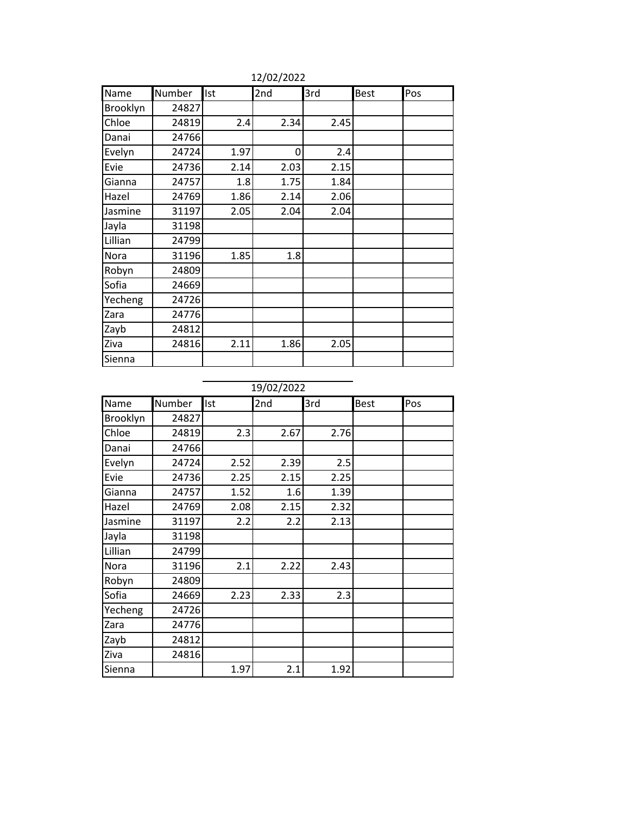| Name     | Number | Ist  | 2nd  | 3rd  | <b>Best</b> | Pos |
|----------|--------|------|------|------|-------------|-----|
| Brooklyn | 24827  |      |      |      |             |     |
| Chloe    | 24819  | 2.4  | 2.34 | 2.45 |             |     |
| Danai    | 24766  |      |      |      |             |     |
| Evelyn   | 24724  | 1.97 | 0    | 2.4  |             |     |
| Evie     | 24736  | 2.14 | 2.03 | 2.15 |             |     |
| Gianna   | 24757  | 1.8  | 1.75 | 1.84 |             |     |
| Hazel    | 24769  | 1.86 | 2.14 | 2.06 |             |     |
| Jasmine  | 31197  | 2.05 | 2.04 | 2.04 |             |     |
| Jayla    | 31198  |      |      |      |             |     |
| Lillian  | 24799  |      |      |      |             |     |
| Nora     | 31196  | 1.85 | 1.8  |      |             |     |
| Robyn    | 24809  |      |      |      |             |     |
| Sofia    | 24669  |      |      |      |             |     |
| Yecheng  | 24726  |      |      |      |             |     |
| Zara     | 24776  |      |      |      |             |     |
| Zayb     | 24812  |      |      |      |             |     |
| Ziva     | 24816  | 2.11 | 1.86 | 2.05 |             |     |
| Sienna   |        |      |      |      |             |     |

12/02/2022

19/02/2022

| Number | Ist  | 2nd            | 3rd  | <b>Best</b>                                                | Pos                                        |
|--------|------|----------------|------|------------------------------------------------------------|--------------------------------------------|
| 24827  |      |                |      |                                                            |                                            |
| 24819  | 2.3  |                |      |                                                            |                                            |
|        |      |                |      |                                                            |                                            |
| 24724  | 2.52 |                |      |                                                            |                                            |
| 24736  | 2.25 |                |      |                                                            |                                            |
| 24757  | 1.52 |                | 1.39 |                                                            |                                            |
| 24769  | 2.08 |                | 2.32 |                                                            |                                            |
| 31197  | 2.2  |                |      |                                                            |                                            |
|        |      |                |      |                                                            |                                            |
| 24799  |      |                |      |                                                            |                                            |
| 31196  | 2.1  |                |      |                                                            |                                            |
| 24809  |      |                |      |                                                            |                                            |
| 24669  | 2.23 |                |      |                                                            |                                            |
| 24726  |      |                |      |                                                            |                                            |
| 24776  |      |                |      |                                                            |                                            |
| 24812  |      |                |      |                                                            |                                            |
| 24816  |      |                |      |                                                            |                                            |
|        | 1.97 | 2.1            | 1.92 |                                                            |                                            |
|        |      | 24766<br>31198 |      | 2.67<br>2.39<br>2.15<br>1.6<br>2.15<br>2.2<br>2.22<br>2.33 | 2.76<br>2.5<br>2.25<br>2.13<br>2.43<br>2.3 |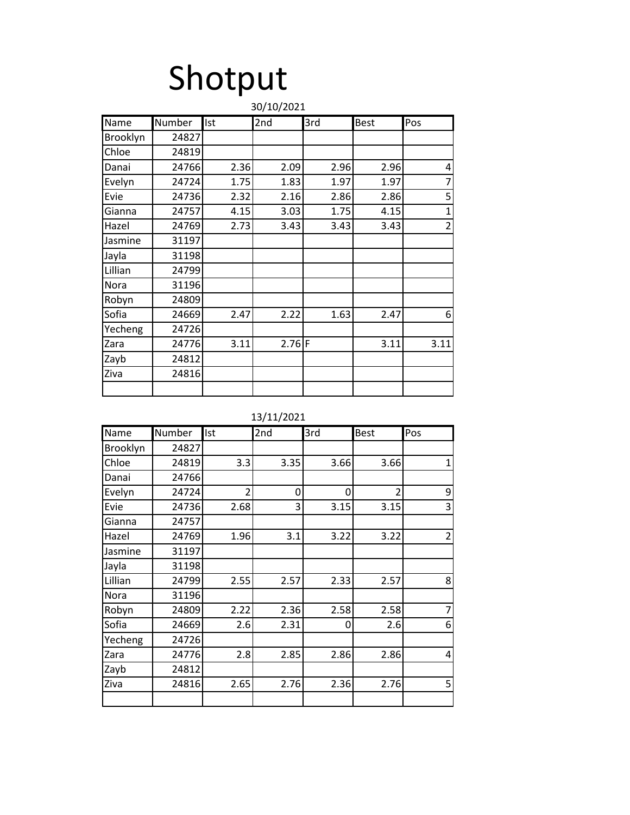# Shotput

|          |        |      | 30/10/2021 |      |             |                |
|----------|--------|------|------------|------|-------------|----------------|
| Name     | Number | Ist  | 2nd        | 3rd  | <b>Best</b> | Pos            |
| Brooklyn | 24827  |      |            |      |             |                |
| Chloe    | 24819  |      |            |      |             |                |
| Danai    | 24766  | 2.36 | 2.09       | 2.96 | 2.96        | 4              |
| Evelyn   | 24724  | 1.75 | 1.83       | 1.97 | 1.97        | $\overline{7}$ |
| Evie     | 24736  | 2.32 | 2.16       | 2.86 | 2.86        | 5              |
| Gianna   | 24757  | 4.15 | 3.03       | 1.75 | 4.15        | $\mathbf{1}$   |
| Hazel    | 24769  | 2.73 | 3.43       | 3.43 | 3.43        | $\overline{2}$ |
| Jasmine  | 31197  |      |            |      |             |                |
| Jayla    | 31198  |      |            |      |             |                |
| Lillian  | 24799  |      |            |      |             |                |
| Nora     | 31196  |      |            |      |             |                |
| Robyn    | 24809  |      |            |      |             |                |
| Sofia    | 24669  | 2.47 | 2.22       | 1.63 | 2.47        | 6              |
| Yecheng  | 24726  |      |            |      |             |                |
| Zara     | 24776  | 3.11 | $2.76$ F   |      | 3.11        | 3.11           |
| Zayb     | 24812  |      |            |      |             |                |
| Ziva     | 24816  |      |            |      |             |                |
|          |        |      |            |      |             |                |

13/11/2021

| Name        | Number | Ist            | 2 <sub>nd</sub> | 3rd  | <b>Best</b>    | Pos            |
|-------------|--------|----------------|-----------------|------|----------------|----------------|
| Brooklyn    | 24827  |                |                 |      |                |                |
| Chloe       | 24819  | 3.3            | 3.35            | 3.66 | 3.66           | 1              |
| Danai       | 24766  |                |                 |      |                |                |
| Evelyn      | 24724  | $\overline{2}$ | 0               | 0    | $\overline{2}$ | 9              |
| Evie        | 24736  | 2.68           | 3               | 3.15 | 3.15           | 3              |
| Gianna      | 24757  |                |                 |      |                |                |
| Hazel       | 24769  | 1.96           | 3.1             | 3.22 | 3.22           | $\overline{2}$ |
| Jasmine     | 31197  |                |                 |      |                |                |
| Jayla       | 31198  |                |                 |      |                |                |
| Lillian     | 24799  | 2.55           | 2.57            | 2.33 | 2.57           | 8              |
| <b>Nora</b> | 31196  |                |                 |      |                |                |
| Robyn       | 24809  | 2.22           | 2.36            | 2.58 | 2.58           | 7              |
| Sofia       | 24669  | 2.6            | 2.31            | 0    | 2.6            | 6              |
| Yecheng     | 24726  |                |                 |      |                |                |
| Zara        | 24776  | 2.8            | 2.85            | 2.86 | 2.86           | 4              |
| Zayb        | 24812  |                |                 |      |                |                |
| Ziva        | 24816  | 2.65           | 2.76            | 2.36 | 2.76           | 5              |
|             |        |                |                 |      |                |                |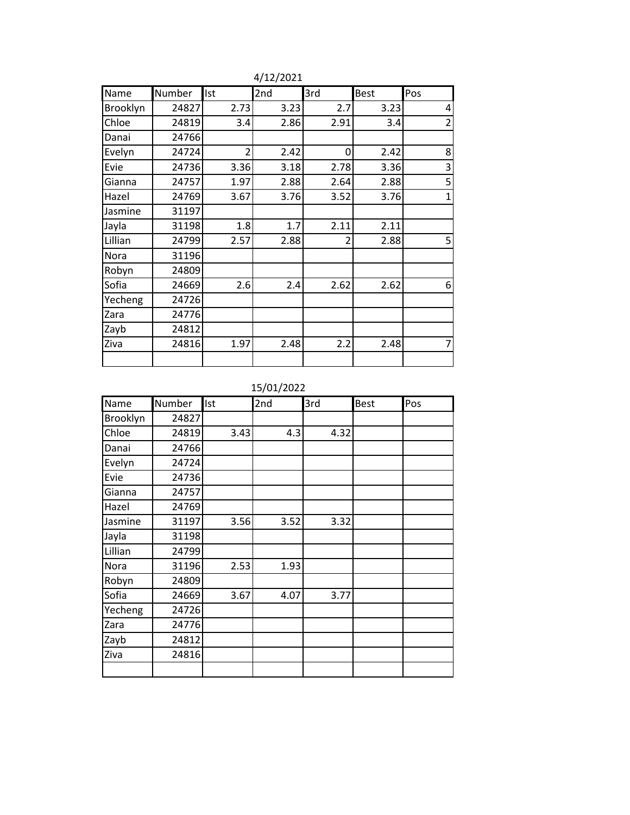| Name     | Number | Ist            | 2nd  | 3rd  | Best | Pos            |
|----------|--------|----------------|------|------|------|----------------|
| Brooklyn | 24827  | 2.73           | 3.23 | 2.7  | 3.23 | 4              |
| Chloe    | 24819  | 3.4            | 2.86 | 2.91 | 3.4  | $\overline{2}$ |
| Danai    | 24766  |                |      |      |      |                |
| Evelyn   | 24724  | $\overline{2}$ | 2.42 | 0    | 2.42 | 8              |
| Evie     | 24736  | 3.36           | 3.18 | 2.78 | 3.36 | 3              |
| Gianna   | 24757  | 1.97           | 2.88 | 2.64 | 2.88 | 5              |
| Hazel    | 24769  | 3.67           | 3.76 | 3.52 | 3.76 | $\mathbf{1}$   |
| Jasmine  | 31197  |                |      |      |      |                |
| Jayla    | 31198  | 1.8            | 1.7  | 2.11 | 2.11 |                |
| Lillian  | 24799  | 2.57           | 2.88 | 2    | 2.88 | 5              |
| Nora     | 31196  |                |      |      |      |                |
| Robyn    | 24809  |                |      |      |      |                |
| Sofia    | 24669  | 2.6            | 2.4  | 2.62 | 2.62 | 6              |
| Yecheng  | 24726  |                |      |      |      |                |
| Zara     | 24776  |                |      |      |      |                |
| Zayb     | 24812  |                |      |      |      |                |
| Ziva     | 24816  | 1.97           | 2.48 | 2.2  | 2.48 | 7              |
|          |        |                |      |      |      |                |

4/12/2021

15/01/2022

| Name     | Number | Ist  | 2nd  | 3rd  | <b>Best</b> | Pos |
|----------|--------|------|------|------|-------------|-----|
| Brooklyn | 24827  |      |      |      |             |     |
| Chloe    | 24819  | 3.43 | 4.3  | 4.32 |             |     |
| Danai    | 24766  |      |      |      |             |     |
| Evelyn   | 24724  |      |      |      |             |     |
| Evie     | 24736  |      |      |      |             |     |
| Gianna   | 24757  |      |      |      |             |     |
| Hazel    | 24769  |      |      |      |             |     |
| Jasmine  | 31197  | 3.56 | 3.52 | 3.32 |             |     |
| Jayla    | 31198  |      |      |      |             |     |
| Lillian  | 24799  |      |      |      |             |     |
| Nora     | 31196  | 2.53 | 1.93 |      |             |     |
| Robyn    | 24809  |      |      |      |             |     |
| Sofia    | 24669  | 3.67 | 4.07 | 3.77 |             |     |
| Yecheng  | 24726  |      |      |      |             |     |
| Zara     | 24776  |      |      |      |             |     |
| Zayb     | 24812  |      |      |      |             |     |
| Ziva     | 24816  |      |      |      |             |     |
|          |        |      |      |      |             |     |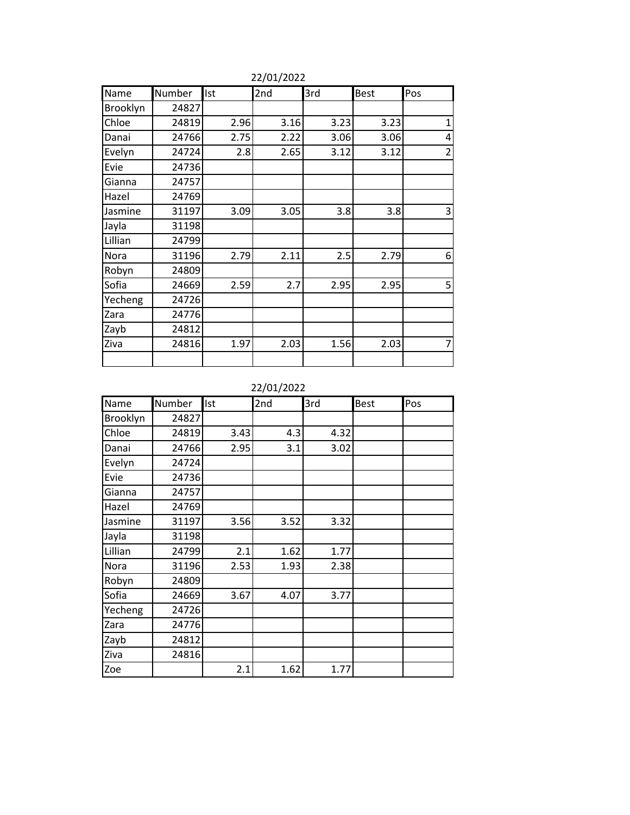| Name     | Number | Ist  | 2nd  | 3rd  | <b>Best</b> | Pos            |
|----------|--------|------|------|------|-------------|----------------|
| Brooklyn | 24827  |      |      |      |             |                |
| Chloe    | 24819  | 2.96 | 3.16 | 3.23 | 3.23        | $\mathbf{1}$   |
| Danai    | 24766  | 2.75 | 2.22 | 3.06 | 3.06        | 4              |
| Evelyn   | 24724  | 2.8  | 2.65 | 3.12 | 3.12        | $\overline{2}$ |
| Evie     | 24736  |      |      |      |             |                |
| Gianna   | 24757  |      |      |      |             |                |
| Hazel    | 24769  |      |      |      |             |                |
| Jasmine  | 31197  | 3.09 | 3.05 | 3.8  | 3.8         | 3              |
| Jayla    | 31198  |      |      |      |             |                |
| Lillian  | 24799  |      |      |      |             |                |
| Nora     | 31196  | 2.79 | 2.11 | 2.5  | 2.79        | 6              |
| Robyn    | 24809  |      |      |      |             |                |
| Sofia    | 24669  | 2.59 | 2.7  | 2.95 | 2.95        | 5              |
| Yecheng  | 24726  |      |      |      |             |                |
| Zara     | 24776  |      |      |      |             |                |
| Zayb     | 24812  |      |      |      |             |                |
| Ziva     | 24816  | 1.97 | 2.03 | 1.56 | 2.03        | 7              |
|          |        |      |      |      |             |                |

22/01/2022

22/01/2022

| Name     | Number | Ist  | 2nd  | 3rd  | <b>Best</b> | Pos |
|----------|--------|------|------|------|-------------|-----|
| Brooklyn | 24827  |      |      |      |             |     |
| Chloe    | 24819  | 3.43 | 4.3  | 4.32 |             |     |
| Danai    | 24766  | 2.95 | 3.1  | 3.02 |             |     |
| Evelyn   | 24724  |      |      |      |             |     |
| Evie     | 24736  |      |      |      |             |     |
| Gianna   | 24757  |      |      |      |             |     |
| Hazel    | 24769  |      |      |      |             |     |
| Jasmine  | 31197  | 3.56 | 3.52 | 3.32 |             |     |
| Jayla    | 31198  |      |      |      |             |     |
| Lillian  | 24799  | 2.1  | 1.62 | 1.77 |             |     |
| Nora     | 31196  | 2.53 | 1.93 | 2.38 |             |     |
| Robyn    | 24809  |      |      |      |             |     |
| Sofia    | 24669  | 3.67 | 4.07 | 3.77 |             |     |
| Yecheng  | 24726  |      |      |      |             |     |
| Zara     | 24776  |      |      |      |             |     |
| Zayb     | 24812  |      |      |      |             |     |
| Ziva     | 24816  |      |      |      |             |     |
| Zoe      |        | 2.1  | 1.62 | 1.77 |             |     |